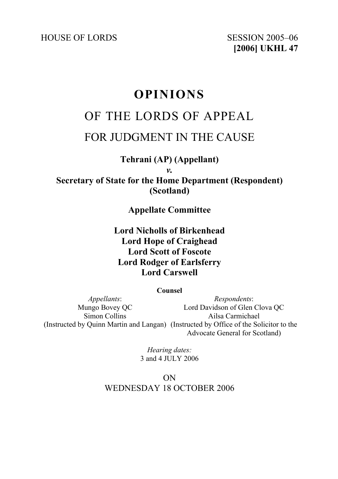HOUSE OF LORDS SESSION 2005–06

**[2006] UKHL 47**

# **OPINIONS**

# OF THE LORDS OF APPEAL FOR JUDGMENT IN THE CAUSE

**Tehrani (AP) (Appellant)**  *v.* 

**Secretary of State for the Home Department (Respondent) (Scotland)** 

**Appellate Committee** 

**Lord Nicholls of Birkenhead Lord Hope of Craighead Lord Scott of Foscote Lord Rodger of Earlsferry Lord Carswell** 

**Counsel** 

*Appellants*: Mungo Bovey QC Simon Collins (Instructed by Quinn Martin and Langan) (Instructed by Office of the Solicitor to the *Respondents*: Lord Davidson of Glen Clova QC Ailsa Carmichael Advocate General for Scotland)

> *Hearing dates:*  3 and 4 JULY 2006

ON WEDNESDAY 18 OCTOBER 2006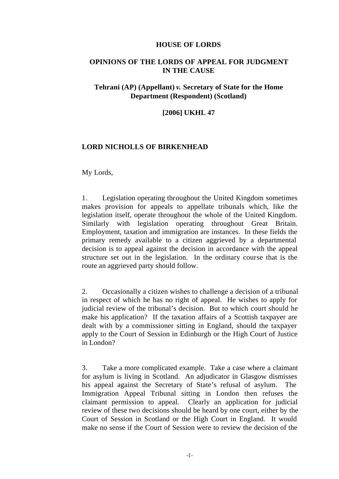#### **HOUSE OF LORDS**

#### **OPINIONS OF THE LORDS OF APPEAL FOR JUDGMENT IN THE CAUSE**

### **Tehrani (AP) (Appellant)** *v.* **Secretary of State for the Home Department (Respondent) (Scotland)**

#### **[2006] UKHL 47**

#### **LORD NICHOLLS OF BIRKENHEAD**

My Lords,

1. Legislation operating throughout the United Kingdom sometimes makes provision for appeals to appellate tribunals which, like the legislation itself, operate throughout the whole of the United Kingdom. Similarly with legislation operating throughout Great Britain. Employment, taxation and immigration are instances. In these fields the primary remedy available to a citizen aggrieved by a departmental decision is to appeal against the decision in accordance with the appeal structure set out in the legislation. In the ordinary course that is the route an aggrieved party should follow.

2. Occasionally a citizen wishes to challenge a decision of a tribunal in respect of which he has no right of appeal. He wishes to apply for judicial review of the tribunal's decision. But to which court should he make his application? If the taxation affairs of a Scottish taxpayer are dealt with by a commissioner sitting in England, should the taxpayer apply to the Court of Session in Edinburgh or the High Court of Justice in London?

3. Take a more complicated example. Take a case where a claimant for asylum is living in Scotland. An adjudicator in Glasgow dismisses his appeal against the Secretary of State's refusal of asylum. The Immigration Appeal Tribunal sitting in London then refuses the claimant permission to appeal. Clearly an application for judicial review of these two decisions should be heard by one court, either by the Court of Session in Scotland or the High Court in England. It would make no sense if the Court of Session were to review the decision of the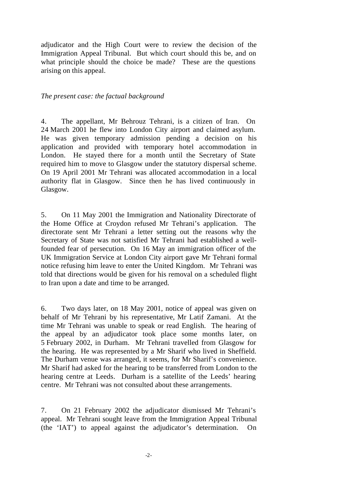adjudicator and the High Court were to review the decision of the Immigration Appeal Tribunal. But which court should this be, and on what principle should the choice be made? These are the questions arising on this appeal.

#### *The present case: the factual background*

4. The appellant, Mr Behrouz Tehrani, is a citizen of Iran. On 24 March 2001 he flew into London City airport and claimed asylum. He was given temporary admission pending a decision on his application and provided with temporary hotel accommodation in London. He stayed there for a month until the Secretary of State required him to move to Glasgow under the statutory dispersal scheme. On 19 April 2001 Mr Tehrani was allocated accommodation in a local authority flat in Glasgow. Since then he has lived continuously in Glasgow.

5. On 11 May 2001 the Immigration and Nationality Directorate of the Home Office at Croydon refused Mr Tehrani's application. The directorate sent Mr Tehrani a letter setting out the reasons why the Secretary of State was not satisfied Mr Tehrani had established a wellfounded fear of persecution. On 16 May an immigration officer of the UK Immigration Service at London City airport gave Mr Tehrani formal notice refusing him leave to enter the United Kingdom. Mr Tehrani was told that directions would be given for his removal on a scheduled flight to Iran upon a date and time to be arranged.

6. Two days later, on 18 May 2001, notice of appeal was given on behalf of Mr Tehrani by his representative, Mr Latif Zamani. At the time Mr Tehrani was unable to speak or read English. The hearing of the appeal by an adjudicator took place some months later, on 5 February 2002, in Durham. Mr Tehrani travelled from Glasgow for the hearing. He was represented by a Mr Sharif who lived in Sheffield. The Durham venue was arranged, it seems, for Mr Sharif's convenience. Mr Sharif had asked for the hearing to be transferred from London to the hearing centre at Leeds. Durham is a satellite of the Leeds' hearing centre. Mr Tehrani was not consulted about these arrangements.

7. On 21 February 2002 the adjudicator dismissed Mr Tehrani's appeal. Mr Tehrani sought leave from the Immigration Appeal Tribunal (the 'IAT') to appeal against the adjudicator's determination. On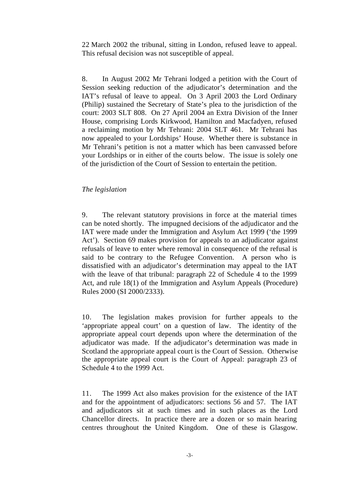22 March 2002 the tribunal, sitting in London, refused leave to appeal. This refusal decision was not susceptible of appeal.

8. In August 2002 Mr Tehrani lodged a petition with the Court of Session seeking reduction of the adjudicator's determination and the IAT's refusal of leave to appeal. On 3 April 2003 the Lord Ordinary (Philip) sustained the Secretary of State's plea to the jurisdiction of the court: 2003 SLT 808. On 27 April 2004 an Extra Division of the Inner House, comprising Lords Kirkwood, Hamilton and Macfadyen, refused a reclaiming motion by Mr Tehrani: 2004 SLT 461. Mr Tehrani has now appealed to your Lordships' House. Whether there is substance in Mr Tehrani's petition is not a matter which has been canvassed before your Lordships or in either of the courts below. The issue is solely one of the jurisdiction of the Court of Session to entertain the petition.

#### *The legislation*

9. The relevant statutory provisions in force at the material times can be noted shortly. The impugned decisions of the adjudicator and the IAT were made under the Immigration and Asylum Act 1999 ('the 1999 Act'). Section 69 makes provision for appeals to an adjudicator against refusals of leave to enter where removal in consequence of the refusal is said to be contrary to the Refugee Convention. A person who is dissatisfied with an adjudicator's determination may appeal to the IAT with the leave of that tribunal: paragraph 22 of Schedule 4 to the 1999 Act, and rule 18(1) of the Immigration and Asylum Appeals (Procedure) Rules 2000 (SI 2000/2333).

10. The legislation makes provision for further appeals to the 'appropriate appeal court' on a question of law. The identity of the appropriate appeal court depends upon where the determination of the adjudicator was made. If the adjudicator's determination was made in Scotland the appropriate appeal court is the Court of Session. Otherwise the appropriate appeal court is the Court of Appeal: paragraph 23 of Schedule 4 to the 1999 Act.

11. The 1999 Act also makes provision for the existence of the IAT and for the appointment of adjudicators: sections 56 and 57. The IAT and adjudicators sit at such times and in such places as the Lord Chancellor directs. In practice there are a dozen or so main hearing centres throughout the United Kingdom. One of these is Glasgow.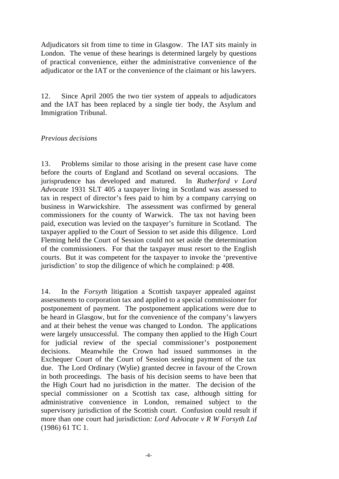Adjudicators sit from time to time in Glasgow. The IAT sits mainly in London. The venue of these hearings is determined largely by questions of practical convenience, either the administrative convenience of the adjudicator or the IAT or the convenience of the claimant or his lawyers.

12. Since April 2005 the two tier system of appeals to adjudicators and the IAT has been replaced by a single tier body, the Asylum and Immigration Tribunal.

#### *Previous decisions*

13. Problems similar to those arising in the present case have come before the courts of England and Scotland on several occasions. The jurisprudence has developed and matured. In *Rutherford v Lord Advocate* 1931 SLT 405 a taxpayer living in Scotland was assessed to tax in respect of director's fees paid to him by a company carrying on business in Warwickshire. The assessment was confirmed by general commissioners for the county of Warwick. The tax not having been paid, execution was levied on the taxpayer's furniture in Scotland. The taxpayer applied to the Court of Session to set aside this diligence. Lord Fleming held the Court of Session could not set aside the determination of the commissioners. For that the taxpayer must resort to the English courts. But it was competent for the taxpayer to invoke the 'preventive jurisdiction' to stop the diligence of which he complained: p 408.

14. In the *Forsyth* litigation a Scottish taxpayer appealed against assessments to corporation tax and applied to a special commissioner for postponement of payment. The postponement applications were due to be heard in Glasgow, but for the convenience of the company's lawyers and at their behest the venue was changed to London. The applications were largely unsuccessful. The company then applied to the High Court for judicial review of the special commissioner's postponement decisions. Meanwhile the Crown had issued summonses in the Exchequer Court of the Court of Session seeking payment of the tax due. The Lord Ordinary (Wylie) granted decree in favour of the Crown in both proceedings. The basis of his decision seems to have been that the High Court had no jurisdiction in the matter. The decision of the special commissioner on a Scottish tax case, although sitting for administrative convenience in London, remained subject to the supervisory jurisdiction of the Scottish court. Confusion could result if more than one court had jurisdiction: *Lord Advocate v R W Forsyth Ltd*  (1986) 61 TC 1.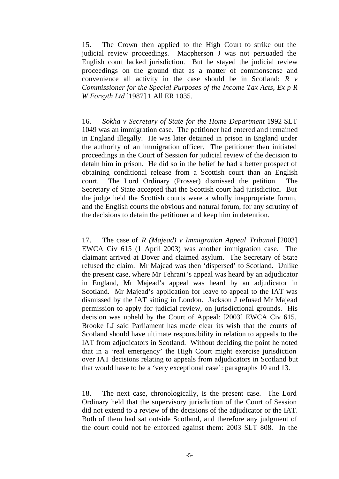15. The Crown then applied to the High Court to strike out the judicial review proceedings. Macpherson J was not persuaded the English court lacked jurisdiction. But he stayed the judicial review proceedings on the ground that as a matter of commonsense and convenience all activity in the case should be in Scotland: *R v Commissioner for the Special Purposes of the Income Tax Acts, Ex p R W Forsyth Ltd* [1987] 1 All ER 1035.

16. *Sokha v Secretary of State for the Home Department* 1992 SLT 1049 was an immigration case. The petitioner had entered and remained in England illegally. He was later detained in prison in England under the authority of an immigration officer. The petitioner then initiated proceedings in the Court of Session for judicial review of the decision to detain him in prison. He did so in the belief he had a better prospect of obtaining conditional release from a Scottish court than an English court. The Lord Ordinary (Prosser) dismissed the petition. The Secretary of State accepted that the Scottish court had jurisdiction. But the judge held the Scottish courts were a wholly inappropriate forum, and the English courts the obvious and natural forum, for any scrutiny of the decisions to detain the petitioner and keep him in detention.

17. The case of *R (Majead) v Immigration Appeal Tribunal* [2003] EWCA Civ 615 (1 April 2003) was another immigration case. The claimant arrived at Dover and claimed asylum. The Secretary of State refused the claim. Mr Majead was then 'dispersed' to Scotland. Unlike the present case, where Mr Tehrani's appeal was heard by an adjudicator in England, Mr Majead's appeal was heard by an adjudicator in Scotland. Mr Majead's application for leave to appeal to the IAT was dismissed by the IAT sitting in London. Jackson J refused Mr Majead permission to apply for judicial review, on jurisdictional grounds. His decision was upheld by the Court of Appeal: [2003] EWCA Civ 615. Brooke LJ said Parliament has made clear its wish that the courts of Scotland should have ultimate responsibility in relation to appeals to the IAT from adjudicators in Scotland. Without deciding the point he noted that in a 'real emergency' the High Court might exercise jurisdiction over IAT decisions relating to appeals from adjudicators in Scotland but that would have to be a 'very exceptional case': paragraphs 10 and 13.

18. The next case, chronologically, is the present case. The Lord Ordinary held that the supervisory jurisdiction of the Court of Session did not extend to a review of the decisions of the adjudicator or the IAT. Both of them had sat outside Scotland, and therefore any judgment of the court could not be enforced against them: 2003 SLT 808. In the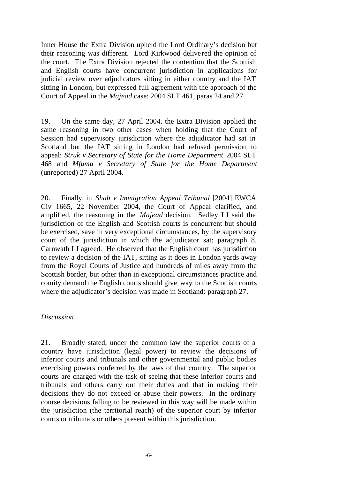Inner House the Extra Division upheld the Lord Ordinary's decision but their reasoning was different. Lord Kirkwood delive red the opinion of the court. The Extra Division rejected the contention that the Scottish and English courts have concurrent jurisdiction in applications for judicial review over adjudicators sitting in either country and the IAT sitting in London, but expressed full agreement with the approach of the Court of Appeal in the *Majead* case: 2004 SLT 461, paras 24 and 27.

19. On the same day, 27 April 2004, the Extra Division applied the same reasoning in two other cases when holding that the Court of Session had supervisory jurisdiction where the adjudicator had sat in Scotland but the IAT sitting in London had refused permission to appeal: *Struk v Secretary of State for the Home Department* 2004 SLT 468 and *Mfumu v Secretary of State for the Home Department* (unreported) 27 April 2004.

20. Finally, in *Shah v Immigration Appeal Tribunal* [2004] EWCA Civ 1665, 22 November 2004, the Court of Appeal clarified, and amplified, the reasoning in the *Majead* decision. Sedley LJ said the jurisdiction of the English and Scottish courts is concurrent but should be exercised, save in very exceptional circumstances, by the supervisory court of the jurisdiction in which the adjudicator sat: paragraph 8. Carnwath LJ agreed. He observed that the English court has jurisdiction to review a decision of the IAT, sitting as it does in London yards away from the Royal Courts of Justice and hundreds of miles away from the Scottish border, but other than in exceptional circumstances practice and comity demand the English courts should give way to the Scottish courts where the adjudicator's decision was made in Scotland: paragraph 27.

#### *Discussion*

21. Broadly stated, under the common law the superior courts of a country have jurisdiction (legal power) to review the decisions of inferior courts and tribunals and other governmental and public bodies exercising powers conferred by the laws of that country. The superior courts are charged with the task of seeing that these inferior courts and tribunals and others carry out their duties and that in making their decisions they do not exceed or abuse their powers. In the ordinary course decisions falling to be reviewed in this way will be made within the jurisdiction (the territorial reach) of the superior court by inferior courts or tribunals or others present within this jurisdiction.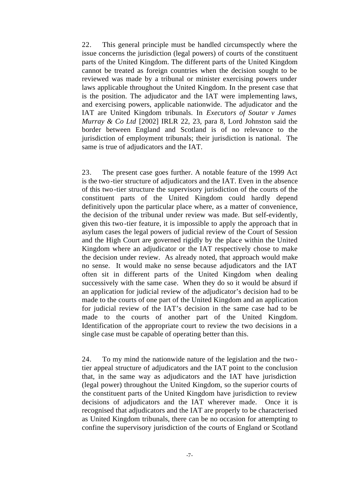22. This general principle must be handled circumspectly where the issue concerns the jurisdiction (legal powers) of courts of the constituent parts of the United Kingdom. The different parts of the United Kingdom cannot be treated as foreign countries when the decision sought to be reviewed was made by a tribunal or minister exercising powers under laws applicable throughout the United Kingdom. In the present case that is the position. The adjudicator and the IAT were implementing laws, and exercising powers, applicable nationwide. The adjudicator and the IAT are United Kingdom tribunals. In *Executors of Soutar v James Murray & Co Ltd* [2002] IRLR 22, 23, para 8, Lord Johnston said the border between England and Scotland is of no relevance to the jurisdiction of employment tribunals; their jurisdiction is national. The same is true of adjudicators and the IAT.

23. The present case goes further. A notable feature of the 1999 Act is the two-tier structure of adjudicators and the IAT. Even in the absence of this two-tier structure the supervisory jurisdiction of the courts of the constituent parts of the United Kingdom could hardly depend definitively upon the particular place where, as a matter of convenience, the decision of the tribunal under review was made. But self-evidently, given this two-tier feature, it is impossible to apply the approach that in asylum cases the legal powers of judicial review of the Court of Session and the High Court are governed rigidly by the place within the United Kingdom where an adjudicator or the IAT respectively chose to make the decision under review. As already noted, that approach would make no sense. It would make no sense because adjudicators and the IAT often sit in different parts of the United Kingdom when dealing successively with the same case. When they do so it would be absurd if an application for judicial review of the adjudicator's decision had to be made to the courts of one part of the United Kingdom and an application for judicial review of the IAT's decision in the same case had to be made to the courts of another part of the United Kingdom. Identification of the appropriate court to review the two decisions in a single case must be capable of operating better than this.

24. To my mind the nationwide nature of the legislation and the twotier appeal structure of adjudicators and the IAT point to the conclusion that, in the same way as adjudicators and the IAT have jurisdiction (legal power) throughout the United Kingdom, so the superior courts of the constituent parts of the United Kingdom have jurisdiction to review decisions of adjudicators and the IAT wherever made. Once it is recognised that adjudicators and the IAT are properly to be characterised as United Kingdom tribunals, there can be no occasion for attempting to confine the supervisory jurisdiction of the courts of England or Scotland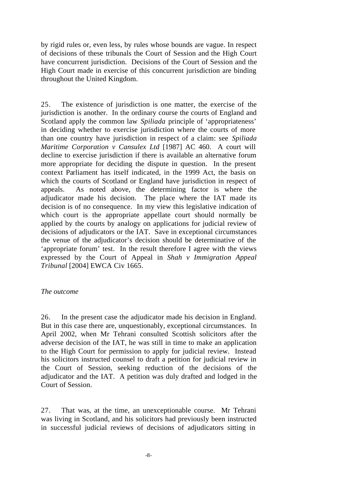by rigid rules or, even less, by rules whose bounds are vague. In respect of decisions of these tribunals the Court of Session and the High Court have concurrent jurisdiction. Decisions of the Court of Session and the High Court made in exercise of this concurrent jurisdiction are binding throughout the United Kingdom.

25. The existence of jurisdiction is one matter, the exercise of the jurisdiction is another. In the ordinary course the courts of England and Scotland apply the common law *Spiliada* principle of 'appropriateness' in deciding whether to exercise jurisdiction where the courts of more than one country have jurisdiction in respect of a claim: see *Spiliada Maritime Corporation v Cansulex Ltd* [1987] AC 460. A court will decline to exercise jurisdiction if there is available an alternative forum more appropriate for deciding the dispute in question. In the present context Parliament has itself indicated, in the 1999 Act, the basis on which the courts of Scotland or England have jurisdiction in respect of appeals. As noted above, the determining factor is where the adjudicator made his decision. The place where the IAT made its decision is of no consequence. In my view this legislative indication of which court is the appropriate appellate court should normally be applied by the courts by analogy on applications for judicial review of decisions of adjudicators or the IAT. Save in exceptional circumstances the venue of the adjudicator's decision should be determinative of the 'appropriate forum' test. In the result therefore I agree with the views expressed by the Court of Appeal in *Shah v Immigration Appeal Tribunal* [2004] EWCA Civ 1665.

#### *The outcome*

26. In the present case the adjudicator made his decision in England. But in this case there are, unquestionably, exceptional circumstances. In April 2002, when Mr Tehrani consulted Scottish solicitors after the adverse decision of the IAT, he was still in time to make an application to the High Court for permission to apply for judicial review. Instead his solicitors instructed counsel to draft a petition for judicial review in the Court of Session, seeking reduction of the decisions of the adjudicator and the IAT. A petition was duly drafted and lodged in the Court of Session.

27. That was, at the time, an unexceptionable course. Mr Tehrani was living in Scotland, and his solicitors had previously been instructed in successful judicial reviews of decisions of adjudicators sitting in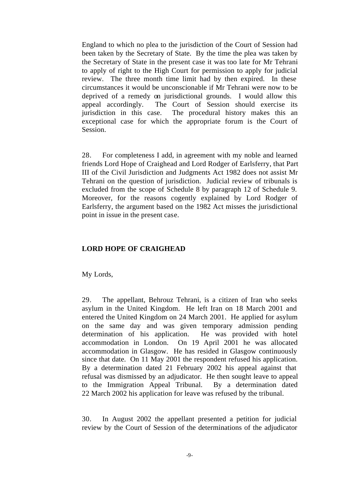England to which no plea to the jurisdiction of the Court of Session had been taken by the Secretary of State. By the time the plea was taken by the Secretary of State in the present case it was too late for Mr Tehrani to apply of right to the High Court for permission to apply for judicial review. The three month time limit had by then expired. In these circumstances it would be unconscionable if Mr Tehrani were now to be deprived of a remedy on jurisdictional grounds. I would allow this appeal accordingly. The Court of Session should exercise its jurisdiction in this case. The procedural history makes this an exceptional case for which the appropriate forum is the Court of Session.

28. For completeness I add, in agreement with my noble and learned friends Lord Hope of Craighead and Lord Rodger of Earlsferry, that Part III of the Civil Jurisdiction and Judgments Act 1982 does not assist Mr Tehrani on the question of jurisdiction. Judicial review of tribunals is excluded from the scope of Schedule 8 by paragraph 12 of Schedule 9. Moreover, for the reasons cogently explained by Lord Rodger of Earlsferry, the argument based on the 1982 Act misses the jurisdictional point in issue in the present case.

#### **LORD HOPE OF CRAIGHEAD**

My Lords,

29. The appellant, Behrouz Tehrani, is a citizen of Iran who seeks asylum in the United Kingdom. He left Iran on 18 March 2001 and entered the United Kingdom on 24 March 2001. He applied for asylum on the same day and was given temporary admission pending determination of his application. He was provided with hotel accommodation in London. On 19 April 2001 he was allocated accommodation in Glasgow. He has resided in Glasgow continuously since that date. On 11 May 2001 the respondent refused his application. By a determination dated 21 February 2002 his appeal against that refusal was dismissed by an adjudicator. He then sought leave to appeal to the Immigration Appeal Tribunal. By a determination dated 22 March 2002 his application for leave was refused by the tribunal.

30. In August 2002 the appellant presented a petition for judicial review by the Court of Session of the determinations of the adjudicator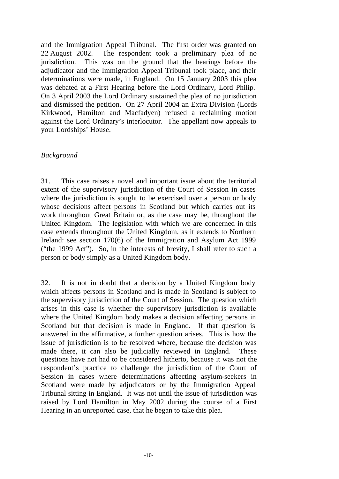and the Immigration Appeal Tribunal. The first order was granted on 22 August 2002. The respondent took a preliminary plea of no jurisdiction. This was on the ground that the hearings before the adjudicator and the Immigration Appeal Tribunal took place, and their determinations were made, in England. On 15 January 2003 this plea was debated at a First Hearing before the Lord Ordinary, Lord Philip. On 3 April 2003 the Lord Ordinary sustained the plea of no jurisdiction and dismissed the petition. On 27 April 2004 an Extra Division (Lords Kirkwood, Hamilton and Macfadyen) refused a reclaiming motion against the Lord Ordinary's interlocutor. The appellant now appeals to your Lordships' House.

#### *Background*

31. This case raises a novel and important issue about the territorial extent of the supervisory jurisdiction of the Court of Session in cases where the jurisdiction is sought to be exercised over a person or body whose decisions affect persons in Scotland but which carries out its work throughout Great Britain or, as the case may be, throughout the United Kingdom. The legislation with which we are concerned in this case extends throughout the United Kingdom, as it extends to Northern Ireland: see section 170(6) of the Immigration and Asylum Act 1999 ("the 1999 Act"). So, in the interests of brevity, I shall refer to such a person or body simply as a United Kingdom body.

32. It is not in doubt that a decision by a United Kingdom body which affects persons in Scotland and is made in Scotland is subject to the supervisory jurisdiction of the Court of Session. The question which arises in this case is whether the supervisory jurisdiction is available where the United Kingdom body makes a decision affecting persons in Scotland but that decision is made in England. If that question is answered in the affirmative, a further question arises. This is how the issue of jurisdiction is to be resolved where, because the decision was made there, it can also be judicially reviewed in England. These questions have not had to be considered hitherto, because it was not the respondent's practice to challenge the jurisdiction of the Court of Session in cases where determinations affecting asylum-seekers in Scotland were made by adjudicators or by the Immigration Appeal Tribunal sitting in England. It was not until the issue of jurisdiction was raised by Lord Hamilton in May 2002 during the course of a First Hearing in an unreported case, that he began to take this plea.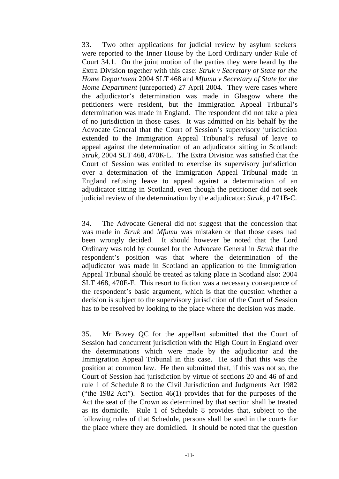33. Two other applications for judicial review by asylum seekers were reported to the Inner House by the Lord Ordinary under Rule of Court 34.1. On the joint motion of the parties they were heard by the Extra Division together with this case: *Struk v Secretary of State for the Home Department* 2004 SLT 468 and *Mfumu v Secretary of State for the Home Department* (unreported) 27 April 2004. They were cases where the adjudicator's determination was made in Glasgow where the petitioners were resident, but the Immigration Appeal Tribunal's determination was made in England. The respondent did not take a plea of no jurisdiction in those cases. It was admitted on his behalf by the Advocate General that the Court of Session's supervisory jurisdiction extended to the Immigration Appeal Tribunal's refusal of leave to appeal against the determination of an adjudicator sitting in Scotland: *Struk*, 2004 SLT 468, 470K-L. The Extra Division was satisfied that the Court of Session was entitled to exercise its supervisory jurisdiction over a determination of the Immigration Appeal Tribunal made in England refusing leave to appeal against a determination of an adjudicator sitting in Scotland, even though the petitioner did not seek judicial review of the determination by the adjudicator: *Struk*, p 471B-C.

34. The Advocate General did not suggest that the concession that was made in *Struk* and *Mfumu* was mistaken or that those cases had been wrongly decided. It should however be noted that the Lord Ordinary was told by counsel for the Advocate General in *Struk* that the respondent's position was that where the determination of the adjudicator was made in Scotland an application to the Immigration Appeal Tribunal should be treated as taking place in Scotland also: 2004 SLT 468, 470E-F. This resort to fiction was a necessary consequence of the respondent's basic argument, which is that the question whether a decision is subject to the supervisory jurisdiction of the Court of Session has to be resolved by looking to the place where the decision was made.

35. Mr Bovey QC for the appellant submitted that the Court of Session had concurrent jurisdiction with the High Court in England over the determinations which were made by the adjudicator and the Immigration Appeal Tribunal in this case. He said that this was the position at common law. He then submitted that, if this was not so, the Court of Session had jurisdiction by virtue of sections 20 and 46 of and rule 1 of Schedule 8 to the Civil Jurisdiction and Judgments Act 1982 ("the 1982 Act"). Section 46(1) provides that for the purposes of the Act the seat of the Crown as determined by that section shall be treated as its domicile. Rule 1 of Schedule 8 provides that, subject to the following rules of that Schedule, persons shall be sued in the courts for the place where they are domiciled. It should be noted that the question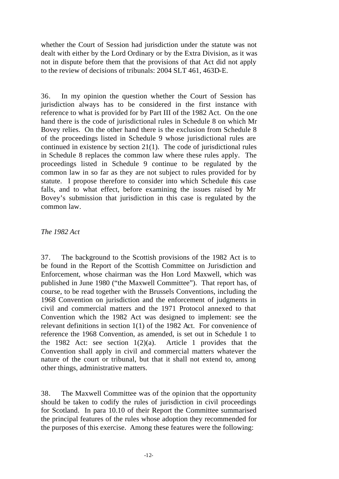whether the Court of Session had jurisdiction under the statute was not dealt with either by the Lord Ordinary or by the Extra Division, as it was not in dispute before them that the provisions of that Act did not apply to the review of decisions of tribunals: 2004 SLT 461, 463D-E.

36. In my opinion the question whether the Court of Session has jurisdiction always has to be considered in the first instance with reference to what is provided for by Part III of the 1982 Act. On the one hand there is the code of jurisdictional rules in Schedule 8 on which Mr Bovey relies. On the other hand there is the exclusion from Schedule 8 of the proceedings listed in Schedule 9 whose jurisdictional rules are continued in existence by section 21(1). The code of jurisdictional rules in Schedule 8 replaces the common law where these rules apply. The proceedings listed in Schedule 9 continue to be regulated by the common law in so far as they are not subject to rules provided for by statute. I propose therefore to consider into which Schedule this case falls, and to what effect, before examining the issues raised by Mr Bovey's submission that jurisdiction in this case is regulated by the common law.

#### *The 1982 Act*

37. The background to the Scottish provisions of the 1982 Act is to be found in the Report of the Scottish Committee on Jurisdiction and Enforcement, whose chairman was the Hon Lord Maxwell, which was published in June 1980 ("the Maxwell Committee"). That report has, of course, to be read together with the Brussels Conventions, including the 1968 Convention on jurisdiction and the enforcement of judgments in civil and commercial matters and the 1971 Protocol annexed to that Convention which the 1982 Act was designed to implement: see the relevant definitions in section 1(1) of the 1982 Act. For convenience of reference the 1968 Convention, as amended, is set out in Schedule 1 to the 1982 Act: see section 1(2)(a). Article 1 provides that the Convention shall apply in civil and commercial matters whatever the nature of the court or tribunal, but that it shall not extend to, among other things, administrative matters.

38. The Maxwell Committee was of the opinion that the opportunity should be taken to codify the rules of jurisdiction in civil proceedings for Scotland. In para 10.10 of their Report the Committee summarised the principal features of the rules whose adoption they recommended for the purposes of this exercise. Among these features were the following: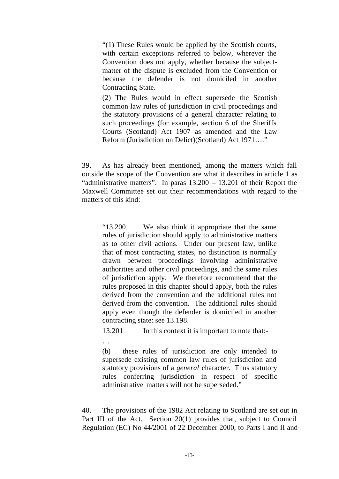"(1) These Rules would be applied by the Scottish courts, with certain exceptions referred to below, wherever the Convention does not apply, whether because the subjectmatter of the dispute is excluded from the Convention or because the defender is not domiciled in another Contracting State.

(2) The Rules would in effect supersede the Scottish common law rules of jurisdiction in civil proceedings and the statutory provisions of a general character relating to such proceedings (for example, section 6 of the Sheriffs Courts (Scotland) Act 1907 as amended and the Law Reform (Jurisdiction on Delict)(Scotland) Act 1971…."

39. As has already been mentioned, among the matters which fall outside the scope of the Convention are what it describes in article 1 as "administrative matters". In paras 13.200 – 13.201 of their Report the Maxwell Committee set out their recommendations with regard to the matters of this kind:

"13.200 We also think it appropriate that the same rules of jurisdiction should apply to administrative matters as to other civil actions. Under our present law, unlike that of most contracting states, no distinction is normally drawn between proceedings involving administrative authorities and other civil proceedings, and the same rules of jurisdiction apply. We therefore recommend that the rules proposed in this chapter shoul d apply, both the rules derived from the convention and the additional rules not derived from the convention. The additional rules should apply even though the defender is domiciled in another contracting state: see 13.198.

13.201 In this context it is important to note that:-

…

(b) these rules of jurisdiction are only intended to supersede existing common law rules of jurisdiction and statutory provisions of a *general* character. Thus statutory rules conferring jurisdiction in respect of specific administrative matters will not be superseded."

40. The provisions of the 1982 Act relating to Scotland are set out in Part III of the Act. Section 20(1) provides that, subject to Council Regulation (EC) No 44/2001 of 22 December 2000, to Parts I and II and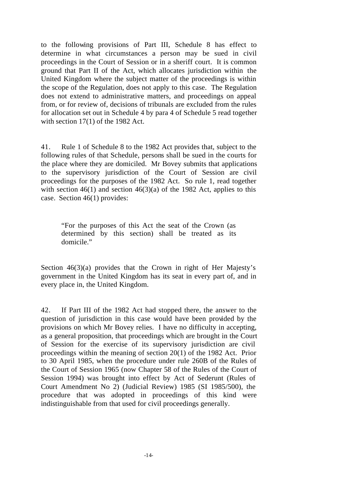to the following provisions of Part III, Schedule 8 has effect to determine in what circumstances a person may be sued in civil proceedings in the Court of Session or in a sheriff court. It is common ground that Part II of the Act, which allocates jurisdiction within the United Kingdom where the subject matter of the proceedings is within the scope of the Regulation, does not apply to this case. The Regulation does not extend to administrative matters, and proceedings on appeal from, or for review of, decisions of tribunals are excluded from the rules for allocation set out in Schedule 4 by para 4 of Schedule 5 read together with section 17(1) of the 1982 Act.

41. Rule 1 of Schedule 8 to the 1982 Act provides that, subject to the following rules of that Schedule, persons shall be sued in the courts for the place where they are domiciled. Mr Bovey submits that applications to the supervisory jurisdiction of the Court of Session are civil proceedings for the purposes of the 1982 Act. So rule 1, read together with section  $46(1)$  and section  $46(3)(a)$  of the 1982 Act, applies to this case. Section 46(1) provides:

"For the purposes of this Act the seat of the Crown (as determined by this section) shall be treated as its domicile."

Section 46(3)(a) provides that the Crown in right of Her Majesty's government in the United Kingdom has its seat in every part of, and in every place in, the United Kingdom.

42. If Part III of the 1982 Act had stopped there, the answer to the question of jurisdiction in this case would have been provided by the provisions on which Mr Bovey relies. I have no difficulty in accepting, as a general proposition, that proceedings which are brought in the Court of Session for the exercise of its supervisory jurisdiction are civil proceedings within the meaning of section 20(1) of the 1982 Act. Prior to 30 April 1985, when the procedure under rule 260B of the Rules of the Court of Session 1965 (now Chapter 58 of the Rules of the Court of Session 1994) was brought into effect by Act of Sederunt (Rules of Court Amendment No 2) (Judicial Review) 1985 (SI 1985/500), the procedure that was adopted in proceedings of this kind were indistinguishable from that used for civil proceedings generally.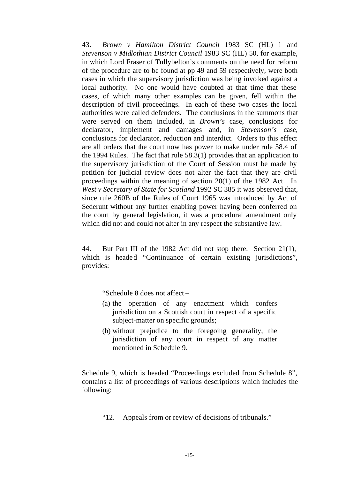43. *Brown v Hamilton District Council* 1983 SC (HL) 1 and *Stevenson v Midlothian District Council* 1983 SC (HL) 50, for example, in which Lord Fraser of Tullybelton's comments on the need for reform of the procedure are to be found at pp 49 and 59 respectively, were both cases in which the supervisory jurisdiction was being invo ked against a local authority. No one would have doubted at that time that these cases, of which many other examples can be given, fell within the description of civil proceedings. In each of these two cases the local authorities were called defenders. The conclusions in the summons that were served on them included, in *Brown's* case, conclusions for declarator, implement and damages and, in *Stevenson's* case, conclusions for declarator, reduction and interdict. Orders to this effect are all orders that the court now has power to make under rule 58.4 of the 1994 Rules. The fact that rule 58.3(1) provides that an application to the supervisory jurisdiction of the Court of Session must be made by petition for judicial review does not alter the fact that they are civil proceedings within the meaning of section 20(1) of the 1982 Act. In *West v Secretary of State for Scotland* 1992 SC 385 it was observed that, since rule 260B of the Rules of Court 1965 was introduced by Act of Sederunt without any further enabling power having been conferred on the court by general legislation, it was a procedural amendment only which did not and could not alter in any respect the substantive law.

44. But Part III of the 1982 Act did not stop there. Section 21(1), which is headed "Continuance of certain existing jurisdictions", provides:

"Schedule 8 does not affect –

- (a) the operation of any enactment which confers jurisdiction on a Scottish court in respect of a specific subject-matter on specific grounds;
- (b) without prejudice to the foregoing generality, the jurisdiction of any court in respect of any matter mentioned in Schedule 9.

Schedule 9, which is headed "Proceedings excluded from Schedule 8", contains a list of proceedings of various descriptions which includes the following:

"12. Appeals from or review of decisions of tribunals."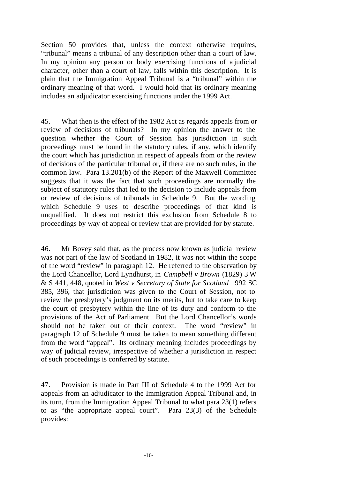Section 50 provides that, unless the context otherwise requires, "tribunal" means a tribunal of any description other than a court of law. In my opinion any person or body exercising functions of a judicial character, other than a court of law, falls within this description. It is plain that the Immigration Appeal Tribunal is a "tribunal" within the ordinary meaning of that word. I would hold that its ordinary meaning includes an adjudicator exercising functions under the 1999 Act.

45. What then is the effect of the 1982 Act as regards appeals from or review of decisions of tribunals? In my opinion the answer to the question whether the Court of Session has jurisdiction in such proceedings must be found in the statutory rules, if any, which identify the court which has jurisdiction in respect of appeals from or the review of decisions of the particular tribunal or, if there are no such rules, in the common law. Para 13.201(b) of the Report of the Maxwell Committee suggests that it was the fact that such proceedings are normally the subject of statutory rules that led to the decision to include appeals from or review of decisions of tribunals in Schedule 9. But the wording which Schedule 9 uses to describe proceedings of that kind is unqualified. It does not restrict this exclusion from Schedule 8 to proceedings by way of appeal or review that are provided for by statute.

46. Mr Bovey said that, as the process now known as judicial review was not part of the law of Scotland in 1982, it was not within the scope of the word "review" in paragraph 12. He referred to the observation by the Lord Chancellor, Lord Lyndhurst, in *Campbell v Brown* (1829) 3 W & S 441, 448, quoted in *West v Secretary of State for Scotland* 1992 SC 385, 396, that jurisdiction was given to the Court of Session, not to review the presbytery's judgment on its merits, but to take care to keep the court of presbytery within the line of its duty and conform to the provisions of the Act of Parliament. But the Lord Chancellor's words should not be taken out of their context. The word "review" in paragraph 12 of Schedule 9 must be taken to mean something different from the word "appeal". Its ordinary meaning includes proceedings by way of judicial review, irrespective of whether a jurisdiction in respect of such proceedings is conferred by statute.

47. Provision is made in Part III of Schedule 4 to the 1999 Act for appeals from an adjudicator to the Immigration Appeal Tribunal and, in its turn, from the Immigration Appeal Tribunal to what para 23(1) refers to as "the appropriate appeal court". Para 23(3) of the Schedule provides: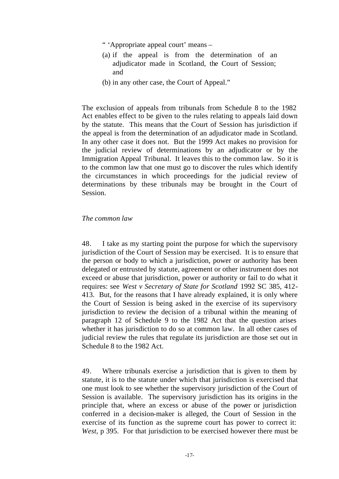" 'Appropriate appeal court' means –

- (a) if the appeal is from the determination of an adjudicator made in Scotland, the Court of Session; and
- (b) in any other case, the Court of Appeal."

The exclusion of appeals from tribunals from Schedule 8 to the 1982 Act enables effect to be given to the rules relating to appeals laid down by the statute. This means that the Court of Session has jurisdiction if the appeal is from the determination of an adjudicator made in Scotland. In any other case it does not. But the 1999 Act makes no provision for the judicial review of determinations by an adjudicator or by the Immigration Appeal Tribunal. It leaves this to the common law. So it is to the common law that one must go to discover the rules which identify the circumstances in which proceedings for the judicial review of determinations by these tribunals may be brought in the Court of Session.

#### *The common law*

48. I take as my starting point the purpose for which the supervisory jurisdiction of the Court of Session may be exercised. It is to ensure that the person or body to which a jurisdiction, power or authority has been delegated or entrusted by statute, agreement or other instrument does not exceed or abuse that jurisdiction, power or authority or fail to do what it requires: see *West v Secretary of State for Scotland* 1992 SC 385, 412- 413. But, for the reasons that I have already explained, it is only where the Court of Session is being asked in the exercise of its supervisory jurisdiction to review the decision of a tribunal within the meaning of paragraph 12 of Schedule 9 to the 1982 Act that the question arises whether it has jurisdiction to do so at common law. In all other cases of judicial review the rules that regulate its jurisdiction are those set out in Schedule 8 to the 1982 Act.

49. Where tribunals exercise a jurisdiction that is given to them by statute, it is to the statute under which that jurisdiction is exercised that one must look to see whether the supervisory jurisdiction of the Court of Session is available. The supervisory jurisdiction has its origins in the principle that, where an excess or abuse of the power or jurisdiction conferred in a decision-maker is alleged, the Court of Session in the exercise of its function as the supreme court has power to correct it: *West*, p 395. For that jurisdiction to be exercised however there must be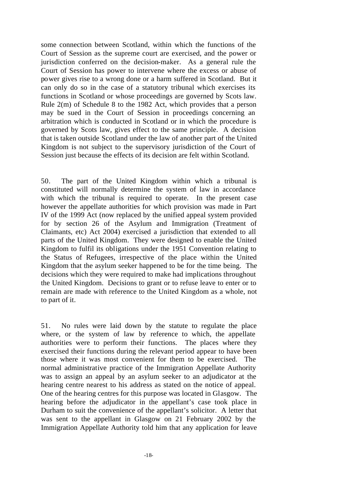some connection between Scotland, within which the functions of the Court of Session as the supreme court are exercised, and the power or jurisdiction conferred on the decision-maker. As a general rule the Court of Session has power to intervene where the excess or abuse of power gives rise to a wrong done or a harm suffered in Scotland. But it can only do so in the case of a statutory tribunal which exercises its functions in Scotland or whose proceedings are governed by Scots law. Rule 2(m) of Schedule 8 to the 1982 Act, which provides that a person may be sued in the Court of Session in proceedings concerning an arbitration which is conducted in Scotland or in which the procedure is governed by Scots law, gives effect to the same principle. A decision that is taken outside Scotland under the law of another part of the United Kingdom is not subject to the supervisory jurisdiction of the Court of Session just because the effects of its decision are felt within Scotland.

50. The part of the United Kingdom within which a tribunal is constituted will normally determine the system of law in accordance with which the tribunal is required to operate. In the present case however the appellate authorities for which provision was made in Part IV of the 1999 Act (now replaced by the unified appeal system provided for by section 26 of the Asylum and Immigration (Treatment of Claimants, etc) Act 2004) exercised a jurisdiction that extended to all parts of the United Kingdom. They were designed to enable the United Kingdom to fulfil its obligations under the 1951 Convention relating to the Status of Refugees, irrespective of the place within the United Kingdom that the asylum seeker happened to be for the time being. The decisions which they were required to make had implications throughout the United Kingdom. Decisions to grant or to refuse leave to enter or to remain are made with reference to the United Kingdom as a whole, not to part of it.

51. No rules were laid down by the statute to regulate the place where, or the system of law by reference to which, the appellate authorities were to perform their functions. The places where they exercised their functions during the relevant period appear to have been those where it was most convenient for them to be exercised. The normal administrative practice of the Immigration Appellate Authority was to assign an appeal by an asylum seeker to an adjudicator at the hearing centre nearest to his address as stated on the notice of appeal. One of the hearing centres for this purpose was located in Glasgow. The hearing before the adjudicator in the appellant's case took place in Durham to suit the convenience of the appellant's solicitor. A letter that was sent to the appellant in Glasgow on 21 February 2002 by the Immigration Appellate Authority told him that any application for leave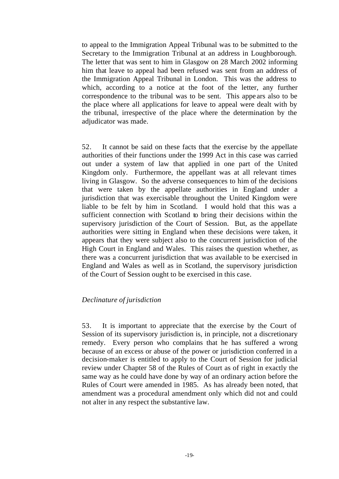to appeal to the Immigration Appeal Tribunal was to be submitted to the Secretary to the Immigration Tribunal at an address in Loughborough. The letter that was sent to him in Glasgow on 28 March 2002 informing him that leave to appeal had been refused was sent from an address of the Immigration Appeal Tribunal in London. This was the address to which, according to a notice at the foot of the letter, any further correspondence to the tribunal was to be sent. This appe ars also to be the place where all applications for leave to appeal were dealt with by the tribunal, irrespective of the place where the determination by the adjudicator was made.

52. It cannot be said on these facts that the exercise by the appellate authorities of their functions under the 1999 Act in this case was carried out under a system of law that applied in one part of the United Kingdom only. Furthermore, the appellant was at all relevant times living in Glasgow. So the adverse consequences to him of the decisions that were taken by the appellate authorities in England under a jurisdiction that was exercisable throughout the United Kingdom were liable to be felt by him in Scotland. I would hold that this was a sufficient connection with Scotland to bring their decisions within the supervisory jurisdiction of the Court of Session. But, as the appellate authorities were sitting in England when these decisions were taken, it appears that they were subject also to the concurrent jurisdiction of the High Court in England and Wales. This raises the question whether, as there was a concurrent jurisdiction that was available to be exercised in England and Wales as well as in Scotland, the supervisory jurisdiction of the Court of Session ought to be exercised in this case.

#### *Declinature of jurisdiction*

53. It is important to appreciate that the exercise by the Court of Session of its supervisory jurisdiction is, in principle, not a discretionary remedy. Every person who complains that he has suffered a wrong because of an excess or abuse of the power or jurisdiction conferred in a decision-maker is entitled to apply to the Court of Session for judicial review under Chapter 58 of the Rules of Court as of right in exactly the same way as he could have done by way of an ordinary action before the Rules of Court were amended in 1985. As has already been noted, that amendment was a procedural amendment only which did not and could not alter in any respect the substantive law.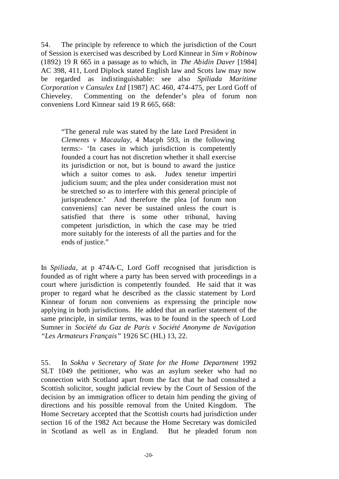54. The principle by reference to which the jurisdiction of the Court of Session is exercised was described by Lord Kinnear in *Sim v Robinow* (1892) 19 R 665 in a passage as to which, in *The Abidin Daver* [1984] AC 398, 411, Lord Diplock stated English law and Scots law may now be regarded as indistinguishable: see also *Spiliada Maritime Corporation v Cansulex Ltd* [1987] AC 460, 474-475, per Lord Goff of Chieveley. Commenting on the defender's plea of forum non conveniens Lord Kinnear said 19 R 665, 668:

"The general rule was stated by the late Lord President in *Clements v Macaulay*, 4 Macph 593, in the following terms:- 'In cases in which jurisdiction is competently founded a court has not discretion whether it shall exercise its jurisdiction or not, but is bound to award the justice which a suitor comes to ask. Judex tenetur impertiri judicium suum; and the plea under consideration must not be stretched so as to interfere with this general principle of jurisprudence.' And therefore the plea [of forum non conveniens] can never be sustained unless the court is satisfied that there is some other tribunal, having competent jurisdiction, in which the case may be tried more suitably for the interests of all the parties and for the ends of justice."

In *Spiliada*, at p 474A-C, Lord Goff recognised that jurisdiction is founded as of right where a party has been served with proceedings in a court where jurisdiction is competently founded. He said that it was proper to regard what he described as the classic statement by Lord Kinnear of forum non conveniens as expressing the principle now applying in both jurisdictions. He added that an earlier statement of the same principle, in similar terms, was to be found in the speech of Lord Sumner in *Société du Gaz de Paris v Société Anonyme de Navigation "Les Armateurs Français"* 1926 SC (HL) 13, 22.

55. In *Sokha v Secretary of State for the Home Department* 1992 SLT 1049 the petitioner, who was an asylum seeker who had no connection with Scotland apart from the fact that he had consulted a Scottish solicitor, sought judicial review by the Court of Session of the decision by an immigration officer to detain him pending the giving of directions and his possible removal from the United Kingdom. The Home Secretary accepted that the Scottish courts had jurisdiction under section 16 of the 1982 Act because the Home Secretary was domiciled in Scotland as well as in England. But he pleaded forum non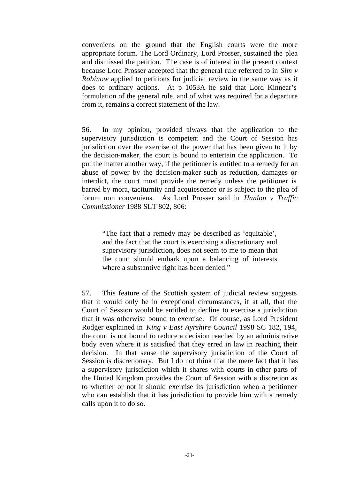conveniens on the ground that the English courts were the more appropriate forum. The Lord Ordinary, Lord Prosser, sustained the plea and dismissed the petition. The case is of interest in the present context because Lord Prosser accepted that the general rule referred to in *Sim v Robinow* applied to petitions for judicial review in the same way as it does to ordinary actions. At p 1053A he said that Lord Kinnear's formulation of the general rule, and of what was required for a departure from it, remains a correct statement of the law.

56. In my opinion, provided always that the application to the supervisory jurisdiction is competent and the Court of Session has jurisdiction over the exercise of the power that has been given to it by the decision-maker, the court is bound to entertain the application. To put the matter another way, if the petitioner is entitled to a remedy for an abuse of power by the decision-maker such as reduction, damages or interdict, the court must provide the remedy unless the petitioner is barred by mora, taciturnity and acquiescence or is subject to the plea of forum non conveniens. As Lord Prosser said in *Hanlon v Traffic Commissioner* 1988 SLT 802, 806:

"The fact that a remedy may be described as 'equitable', and the fact that the court is exercising a discretionary and supervisory jurisdiction, does not seem to me to mean that the court should embark upon a balancing of interests where a substantive right has been denied."

57. This feature of the Scottish system of judicial review suggests that it would only be in exceptional circumstances, if at all, that the Court of Session would be entitled to decline to exercise a jurisdiction that it was otherwise bound to exercise. Of course, as Lord President Rodger explained in *King v East Ayrshire Council* 1998 SC 182, 194, the court is not bound to reduce a decision reached by an administrative body even where it is satisfied that they erred in law in reaching their decision. In that sense the supervisory jurisdiction of the Court of Session is discretionary. But I do not think that the mere fact that it has a supervisory jurisdiction which it shares with courts in other parts of the United Kingdom provides the Court of Session with a discretion as to whether or not it should exercise its jurisdiction when a petitioner who can establish that it has jurisdiction to provide him with a remedy calls upon it to do so.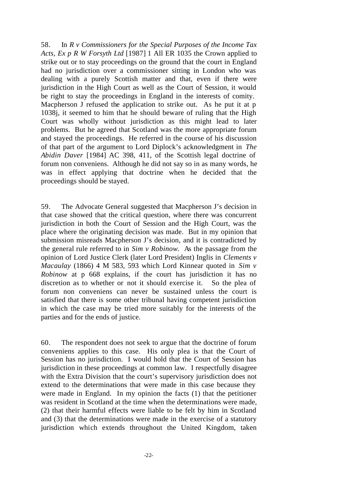58. In *R v Commissioners for the Special Purposes of the Income Tax Acts, Ex p R W Forsyth Ltd* [1987] 1 All ER 1035 the Crown applied to strike out or to stay proceedings on the ground that the court in England had no jurisdiction over a commissioner sitting in London who was dealing with a purely Scottish matter and that, even if there were jurisdiction in the High Court as well as the Court of Session, it would be right to stay the proceedings in England in the interests of comity. Macpherson J refused the application to strike out. As he put it at p 1038j, it seemed to him that he should beware of ruling that the High Court was wholly without jurisdiction as this might lead to later problems. But he agreed that Scotland was the more appropriate forum and stayed the proceedings. He referred in the course of his discussion of that part of the argument to Lord Diplock's acknowledgment in *The Abidin Daver* [1984] AC 398, 411, of the Scottish legal doctrine of forum non conveniens. Although he did not say so in as many words, he was in effect applying that doctrine when he decided that the proceedings should be stayed.

59. The Advocate General suggested that Macpherson J's decision in that case showed that the critical question, where there was concurrent jurisdiction in both the Court of Session and the High Court, was the place where the originating decision was made. But in my opinion that submission misreads Macpherson J's decision, and it is contradicted by the general rule referred to in *Sim v Robinow*. As the passage from the opinion of Lord Justice Clerk (later Lord President) Inglis in *Clements v Macaulay* (1866) 4 M 583, 593 which Lord Kinnear quoted in *Sim v Robinow* at p 668 explains, if the court has jurisdiction it has no discretion as to whether or not it should exercise it. So the plea of forum non conveniens can never be sustained unless the court is satisfied that there is some other tribunal having competent jurisdiction in which the case may be tried more suitably for the interests of the parties and for the ends of justice.

60. The respondent does not seek to argue that the doctrine of forum conveniens applies to this case. His only plea is that the Court of Session has no jurisdiction. I would hold that the Court of Session has jurisdiction in these proceedings at common law. I respectfully disagree with the Extra Division that the court's supervisory jurisdiction does not extend to the determinations that were made in this case because they were made in England. In my opinion the facts (1) that the petitioner was resident in Scotland at the time when the determinations were made, (2) that their harmful effects were liable to be felt by him in Scotland and (3) that the determinations were made in the exercise of a statutory jurisdiction which extends throughout the United Kingdom, taken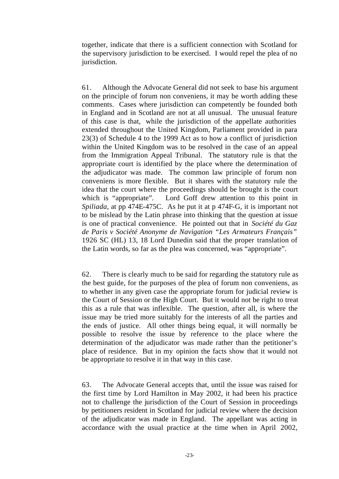together, indicate that there is a sufficient connection with Scotland for the supervisory jurisdiction to be exercised. I would repel the plea of no jurisdiction.

61. Although the Advocate General did not seek to base his argument on the principle of forum non conveniens, it may be worth adding these comments. Cases where jurisdiction can competently be founded both in England and in Scotland are not at all unusual. The unusual feature of this case is that, while the jurisdiction of the appellate authorities extended throughout the United Kingdom, Parliament provided in para 23(3) of Schedule 4 to the 1999 Act as to how a conflict of jurisdiction within the United Kingdom was to be resolved in the case of an appeal from the Immigration Appeal Tribunal. The statutory rule is that the appropriate court is identified by the place where the determination of the adjudicator was made. The common law principle of forum non conveniens is more flexible. But it shares with the statutory rule the idea that the court where the proceedings should be brought is the court which is "appropriate". Lord Goff drew attention to this point in *Spiliada*, at pp 474E-475C. As he put it at p 474F-G, it is important not to be mislead by the Latin phrase into thinking that the question at issue is one of practical convenience. He pointed out that in *Société du Gaz de Paris v Société Anonyme de Navigation "Les Armateurs Français"*  1926 SC (HL) 13, 18 Lord Dunedin said that the proper translation of the Latin words, so far as the plea was concerned, was "appropriate".

62. There is clearly much to be said for regarding the statutory rule as the best guide, for the purposes of the plea of forum non conveniens, as to whether in any given case the appropriate forum for judicial review is the Court of Session or the High Court. But it would not be right to treat this as a rule that was inflexible. The question, after all, is where the issue may be tried more suitably for the interests of all the parties and the ends of justice. All other things being equal, it will normally be possible to resolve the issue by reference to the place where the determination of the adjudicator was made rather than the petitioner's place of residence. But in my opinion the facts show that it would not be appropriate to resolve it in that way in this case.

63. The Advocate General accepts that, until the issue was raised for the first time by Lord Hamilton in May 2002, it had been his practice not to challenge the jurisdiction of the Court of Session in proceedings by petitioners resident in Scotland for judicial review where the decision of the adjudicator was made in England. The appellant was acting in accordance with the usual practice at the time when in April 2002,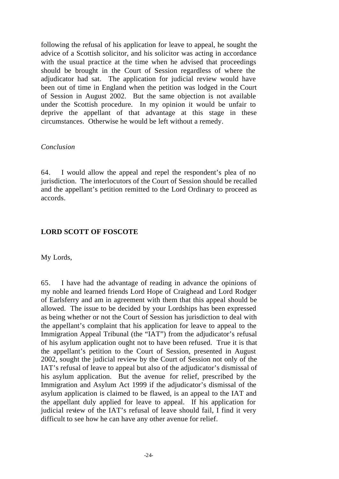following the refusal of his application for leave to appeal, he sought the advice of a Scottish solicitor, and his solicitor was acting in accordance with the usual practice at the time when he advised that proceedings should be brought in the Court of Session regardless of where the adjudicator had sat. The application for judicial review would have been out of time in England when the petition was lodged in the Court of Session in August 2002. But the same objection is not available under the Scottish procedure. In my opinion it would be unfair to deprive the appellant of that advantage at this stage in these circumstances. Otherwise he would be left without a remedy.

#### *Conclusion*

64. I would allow the appeal and repel the respondent's plea of no jurisdiction. The interlocutors of the Court of Session should be recalled and the appellant's petition remitted to the Lord Ordinary to proceed as accords.

# **LORD SCOTT OF FOSCOTE**

My Lords,

65. I have had the advantage of reading in advance the opinions of my noble and learned friends Lord Hope of Craighead and Lord Rodger of Earlsferry and am in agreement with them that this appeal should be allowed. The issue to be decided by your Lordships has been expressed as being whether or not the Court of Session has jurisdiction to deal with the appellant's complaint that his application for leave to appeal to the Immigration Appeal Tribunal (the "IAT") from the adjudicator's refusal of his asylum application ought not to have been refused. True it is that the appellant's petition to the Court of Session, presented in August 2002, sought the judicial review by the Court of Session not only of the IAT's refusal of leave to appeal but also of the adjudicator's dismissal of his asylum application. But the avenue for relief, prescribed by the Immigration and Asylum Act 1999 if the adjudicator's dismissal of the asylum application is claimed to be flawed, is an appeal to the IAT and the appellant duly applied for leave to appeal. If his application for judicial review of the IAT's refusal of leave should fail, I find it very difficult to see how he can have any other avenue for relief.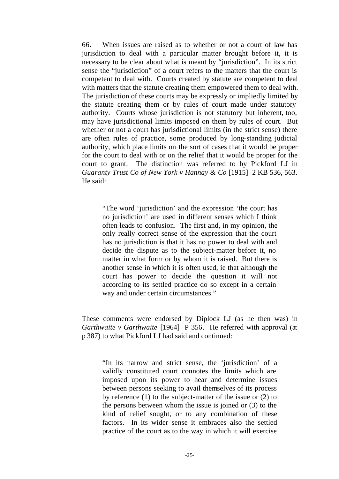66. When issues are raised as to whether or not a court of law has jurisdiction to deal with a particular matter brought before it, it is necessary to be clear about what is meant by "jurisdiction". In its strict sense the "jurisdiction" of a court refers to the matters that the court is competent to deal with. Courts created by statute are competent to deal with matters that the statute creating them empowered them to deal with. The jurisdiction of these courts may be expressly or impliedly limited by the statute creating them or by rules of court made under statutory authority. Courts whose jurisdiction is not statutory but inherent, too, may have jurisdictional limits imposed on them by rules of court. But whether or not a court has jurisdictional limits (in the strict sense) there are often rules of practice, some produced by long-standing judicial authority, which place limits on the sort of cases that it would be proper for the court to deal with or on the relief that it would be proper for the court to grant. The distinction was referred to by Pickford LJ in *Guaranty Trust Co of New York v Hannay & Co* [1915] 2 KB 536, 563. He said:

"The word 'jurisdiction' and the expression 'the court has no jurisdiction' are used in different senses which I think often leads to confusion. The first and, in my opinion, the only really correct sense of the expression that the court has no jurisdiction is that it has no power to deal with and decide the dispute as to the subject-matter before it, no matter in what form or by whom it is raised. But there is another sense in which it is often used, ie that although the court has power to decide the question it will not according to its settled practice do so except in a certain way and under certain circumstances."

These comments were endorsed by Diplock LJ (as he then was) in *Garthwaite v Garthwaite* [1964] P 356. He referred with approval (at p 387) to what Pickford LJ had said and continued:

"In its narrow and strict sense, the 'jurisdiction' of a validly constituted court connotes the limits which are imposed upon its power to hear and determine issues between persons seeking to avail themselves of its process by reference (1) to the subject-matter of the issue or (2) to the persons between whom the issue is joined or (3) to the kind of relief sought, or to any combination of these factors. In its wider sense it embraces also the settled practice of the court as to the way in which it will exercise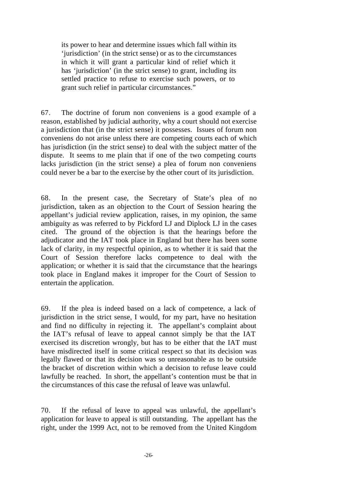its power to hear and determine issues which fall within its 'jurisdiction' (in the strict sense) or as to the circumstances in which it will grant a particular kind of relief which it has 'jurisdiction' (in the strict sense) to grant, including its settled practice to refuse to exercise such powers, or to grant such relief in particular circumstances."

67. The doctrine of forum non conveniens is a good example of a reason, established by judicial authority, why a court should not exercise a jurisdiction that (in the strict sense) it possesses. Issues of forum non conveniens do not arise unless there are competing courts each of which has jurisdiction (in the strict sense) to deal with the subject matter of the dispute. It seems to me plain that if one of the two competing courts lacks jurisdiction (in the strict sense) a plea of forum non conveniens could never be a bar to the exercise by the other court of its jurisdiction.

68. In the present case, the Secretary of State's plea of no jurisdiction, taken as an objection to the Court of Session hearing the appellant's judicial review application, raises, in my opinion, the same ambiguity as was referred to by Pickford LJ and Diplock LJ in the cases cited. The ground of the objection is that the hearings before the adjudicator and the IAT took place in England but there has been some lack of clarity, in my respectful opinion, as to whether it is said that the Court of Session therefore lacks competence to deal with the application; or whether it is said that the circumstance that the hearings took place in England makes it improper for the Court of Session to entertain the application.

69. If the plea is indeed based on a lack of competence, a lack of jurisdiction in the strict sense, I would, for my part, have no hesitation and find no difficulty in rejecting it. The appellant's complaint about the IAT's refusal of leave to appeal cannot simply be that the IAT exercised its discretion wrongly, but has to be either that the IAT must have misdirected itself in some critical respect so that its decision was legally flawed or that its decision was so unreasonable as to be outside the bracket of discretion within which a decision to refuse leave could lawfully be reached. In short, the appellant's contention must be that in the circumstances of this case the refusal of leave was unlawful.

70. If the refusal of leave to appeal was unlawful, the appellant's application for leave to appeal is still outstanding. The appellant has the right, under the 1999 Act, not to be removed from the United Kingdom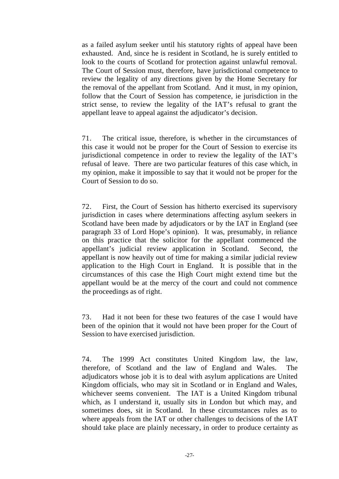as a failed asylum seeker until his statutory rights of appeal have been exhausted. And, since he is resident in Scotland, he is surely entitled to look to the courts of Scotland for protection against unlawful removal. The Court of Session must, therefore, have jurisdictional competence to review the legality of any directions given by the Home Secretary for the removal of the appellant from Scotland. And it must, in my opinion, follow that the Court of Session has competence, ie jurisdiction in the strict sense, to review the legality of the IAT's refusal to grant the appellant leave to appeal against the adjudicator's decision.

71. The critical issue, therefore, is whether in the circumstances of this case it would not be proper for the Court of Session to exercise its jurisdictional competence in order to review the legality of the IAT's refusal of leave. There are two particular features of this case which, in my opinion, make it impossible to say that it would not be proper for the Court of Session to do so.

72. First, the Court of Session has hitherto exercised its supervisory jurisdiction in cases where determinations affecting asylum seekers in Scotland have been made by adjudicators or by the IAT in England (see paragraph 33 of Lord Hope's opinion). It was, presumably, in reliance on this practice that the solicitor for the appellant commenced the appellant's judicial review application in Scotland. Second, the appellant is now heavily out of time for making a similar judicial review application to the High Court in England. It is possible that in the circumstances of this case the High Court might extend time but the appellant would be at the mercy of the court and could not commence the proceedings as of right.

73. Had it not been for these two features of the case I would have been of the opinion that it would not have been proper for the Court of Session to have exercised jurisdiction.

74. The 1999 Act constitutes United Kingdom law, the law, therefore, of Scotland and the law of England and Wales. The adjudicators whose job it is to deal with asylum applications are United Kingdom officials, who may sit in Scotland or in England and Wales, whichever seems convenient. The IAT is a United Kingdom tribunal which, as I understand it, usually sits in London but which may, and sometimes does, sit in Scotland. In these circumstances rules as to where appeals from the IAT or other challenges to decisions of the IAT should take place are plainly necessary, in order to produce certainty as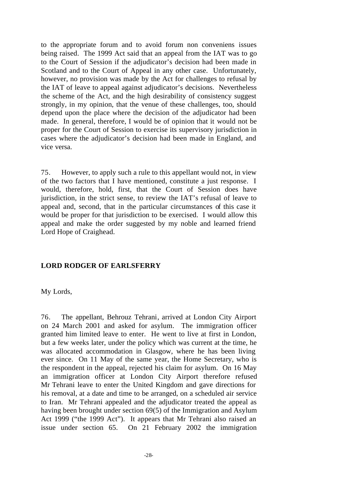to the appropriate forum and to avoid forum non conveniens issues being raised. The 1999 Act said that an appeal from the IAT was to go to the Court of Session if the adjudicator's decision had been made in Scotland and to the Court of Appeal in any other case. Unfortunately, however, no provision was made by the Act for challenges to refusal by the IAT of leave to appeal against adjudicator's decisions. Nevertheless the scheme of the Act, and the high desirability of consistency suggest strongly, in my opinion, that the venue of these challenges, too, should depend upon the place where the decision of the adjudicator had been made. In general, therefore, I would be of opinion that it would not be proper for the Court of Session to exercise its supervisory jurisdiction in cases where the adjudicator's decision had been made in England, and vice versa.

75. However, to apply such a rule to this appellant would not, in view of the two factors that I have mentioned, constitute a just response. I would, therefore, hold, first, that the Court of Session does have jurisdiction, in the strict sense, to review the IAT's refusal of leave to appeal and, second, that in the particular circumstances of this case it would be proper for that jurisdiction to be exercised. I would allow this appeal and make the order suggested by my noble and learned friend Lord Hope of Craighead.

#### **LORD RODGER OF EARLSFERRY**

My Lords,

76. The appellant, Behrouz Tehrani, arrived at London City Airport on 24 March 2001 and asked for asylum. The immigration officer granted him limited leave to enter. He went to live at first in London, but a few weeks later, under the policy which was current at the time, he was allocated accommodation in Glasgow, where he has been living ever since. On 11 May of the same year, the Home Secretary, who is the respondent in the appeal, rejected his claim for asylum. On 16 May an immigration officer at London City Airport therefore refused Mr Tehrani leave to enter the United Kingdom and gave directions for his removal, at a date and time to be arranged, on a scheduled air service to Iran. Mr Tehrani appealed and the adjudicator treated the appeal as having been brought under section 69(5) of the Immigration and Asylum Act 1999 ("the 1999 Act"). It appears that Mr Tehrani also raised an issue under section 65. On 21 February 2002 the immigration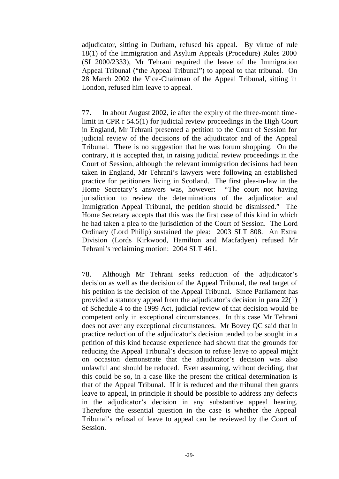adjudicator, sitting in Durham, refused his appeal. By virtue of rule 18(1) of the Immigration and Asylum Appeals (Procedure) Rules 2000 (SI 2000/2333), Mr Tehrani required the leave of the Immigration Appeal Tribunal ("the Appeal Tribunal") to appeal to that tribunal. On 28 March 2002 the Vice-Chairman of the Appeal Tribunal, sitting in London, refused him leave to appeal.

77. In about August 2002, ie after the expiry of the three-month timelimit in CPR r 54.5(1) for judicial review proceedings in the High Court in England, Mr Tehrani presented a petition to the Court of Session for judicial review of the decisions of the adjudicator and of the Appeal Tribunal. There is no suggestion that he was forum shopping. On the contrary, it is accepted that, in raising judicial review proceedings in the Court of Session, although the relevant immigration decisions had been taken in England, Mr Tehrani's lawyers were following an established practice for petitioners living in Scotland. The first plea-in-law in the Home Secretary's answers was, however: "The court not having jurisdiction to review the determinations of the adjudicator and Immigration Appeal Tribunal, the petition should be dismissed." The Home Secretary accepts that this was the first case of this kind in which he had taken a plea to the jurisdiction of the Court of Session. The Lord Ordinary (Lord Philip) sustained the plea: 2003 SLT 808. An Extra Division (Lords Kirkwood, Hamilton and Macfadyen) refused Mr Tehrani's reclaiming motion: 2004 SLT 461.

78. Although Mr Tehrani seeks reduction of the adjudicator's decision as well as the decision of the Appeal Tribunal, the real target of his petition is the decision of the Appeal Tribunal. Since Parliament has provided a statutory appeal from the adjudicator's decision in para 22(1) of Schedule 4 to the 1999 Act, judicial review of that decision would be competent only in exceptional circumstances. In this case Mr Tehrani does not aver any exceptional circumstances. Mr Bovey QC said that in practice reduction of the adjudicator's decision tended to be sought in a petition of this kind because experience had shown that the grounds for reducing the Appeal Tribunal's decision to refuse leave to appeal might on occasion demonstrate that the adjudicator's decision was also unlawful and should be reduced. Even assuming, without deciding, that this could be so, in a case like the present the critical determination is that of the Appeal Tribunal. If it is reduced and the tribunal then grants leave to appeal, in principle it should be possible to address any defects in the adjudicator's decision in any substantive appeal hearing. Therefore the essential question in the case is whether the Appeal Tribunal's refusal of leave to appeal can be reviewed by the Court of Session.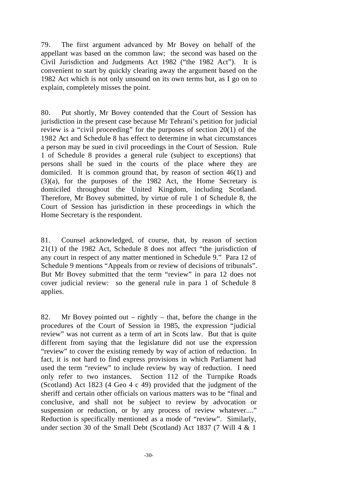79. The first argument advanced by Mr Bovey on behalf of the appellant was based on the common law; the second was based on the Civil Jurisdiction and Judgments Act 1982 ("the 1982 Act"). It is convenient to start by quickly clearing away the argument based on the 1982 Act which is not only unsound on its own terms but, as I go on to explain, completely misses the point.

80. Put shortly, Mr Bovey contended that the Court of Session has jurisdiction in the present case because Mr Tehrani's petition for judicial review is a "civil proceeding" for the purposes of section 20(1) of the 1982 Act and Schedule 8 has effect to determine in what circumstances a person may be sued in civil proceedings in the Court of Session. Rule 1 of Schedule 8 provides a general rule (subject to exceptions) that persons shall be sued in the courts of the place where they are domiciled. It is common ground that, by reason of section 46(1) and (3)(a), for the purposes of the 1982 Act, the Home Secretary is domiciled throughout the United Kingdom, including Scotland. Therefore, Mr Bovey submitted, by virtue of rule 1 of Schedule 8, the Court of Session has jurisdiction in these proceedings in which the Home Secretary is the respondent.

81. Counsel acknowledged, of course, that, by reason of section 21(1) of the 1982 Act, Schedule 8 does not affect "the jurisdiction of any court in respect of any matter mentioned in Schedule 9." Para 12 of Schedule 9 mentions "Appeals from or review of decisions of tribunals". But Mr Bovey submitted that the term "review" in para 12 does not cover judicial review: so the general rule in para 1 of Schedule 8 applies.

82. Mr Bovey pointed out – rightly – that, before the change in the procedures of the Court of Session in 1985, the expression "judicial review" was not current as a term of art in Scots law. But that is quite different from saying that the legislature did not use the expression "review" to cover the existing remedy by way of action of reduction. In fact, it is not hard to find express provisions in which Parliament had used the term "review" to include review by way of reduction. I need only refer to two instances. Section 112 of the Turnpike Roads (Scotland) Act 1823 (4 Geo 4 c 49) provided that the judgment of the sheriff and certain other officials on various matters was to be "final and conclusive, and shall not be subject to review by advocation or suspension or reduction, or by any process of review whatever...." Reduction is specifically mentioned as a mode of "review". Similarly, under section 30 of the Small Debt (Scotland) Act 1837 (7 Will 4 & 1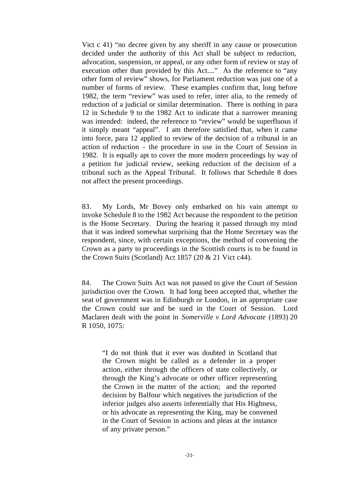Vict c 41) "no decree given by any sheriff in any cause or prosecution decided under the authority of this Act shall be subject to reduction, advocation, suspension, or appeal, or any other form of review or stay of execution other than provided by this Act...." As the reference to "any other form of review" shows, for Parliament reduction was just one of a number of forms of review. These examples confirm that, long before 1982, the term "review" was used to refer, inter alia, to the remedy of reduction of a judicial or similar determination. There is nothing in para 12 in Schedule 9 to the 1982 Act to indicate that a narrower meaning was intended: indeed, the reference to "review" would be superfluous if it simply meant "appeal". I am therefore satisfied that, when it came into force, para 12 applied to review of the decision of a tribunal in an action of reduction - the procedure in use in the Court of Session in 1982. It is equally apt to cover the more modern proceedings by way of a petition for judicial review, seeking reduction of the decision of a tribunal such as the Appeal Tribunal. It follows that Schedule 8 does not affect the present proceedings.

83. My Lords, Mr Bovey only embarked on his vain attempt to invoke Schedule 8 to the 1982 Act because the respondent to the petition is the Home Secretary. During the hearing it passed through my mind that it was indeed somewhat surprising that the Home Secretary was the respondent, since, with certain exceptions, the method of convening the Crown as a party to proceedings in the Scottish courts is to be found in the Crown Suits (Scotland) Act 1857 (20 & 21 Vict c44).

84. The Crown Suits Act was not passed to give the Court of Session jurisdiction over the Crown. It had long been accepted that, whether the seat of government was in Edinburgh or London, in an appropriate case the Crown could sue and be sued in the Court of Session. Lord Maclaren dealt with the point in *Somerville v Lord Advocate* (1893) 20 R 1050, 1075:

"I do not think that it ever was doubted in Scotland that the Crown might be called as a defender in a proper action, either through the officers of state collectively, or through the King's advocate or other officer representing the Crown in the matter of the action; and the reported decision by Balfour which negatives the jurisdiction of the inferior judges also asserts inferentially that His Highness, or his advocate as representing the King, may be convened in the Court of Session in actions and pleas at the instance of any private person."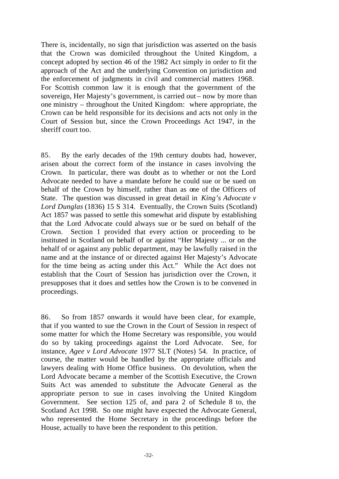There is, incidentally, no sign that jurisdiction was asserted on the basis that the Crown was domiciled throughout the United Kingdom, a concept adopted by section 46 of the 1982 Act simply in order to fit the approach of the Act and the underlying Convention on jurisdiction and the enforcement of judgments in civil and commercial matters 1968. For Scottish common law it is enough that the government of the sovereign, Her Majesty's government, is carried out – now by more than one ministry – throughout the United Kingdom: where appropriate, the Crown can be held responsible for its decisions and acts not only in the Court of Session but, since the Crown Proceedings Act 1947, in the sheriff court too.

85. By the early decades of the 19th century doubts had, however, arisen about the correct form of the instance in cases involving the Crown. In particular, there was doubt as to whether or not the Lord Advocate needed to have a mandate before he could sue or be sued on behalf of the Crown by himself, rather than as one of the Officers of State. The question was discussed in great detail in *King's Advocate v Lord Dunglas* (1836) 15 S 314. Eventually, the Crown Suits (Scotland) Act 1857 was passed to settle this somewhat arid dispute by establishing that the Lord Advocate could always sue or be sued on behalf of the Crown. Section 1 provided that every action or proceeding to be instituted in Scotland on behalf of or against "Her Majesty ... or on the behalf of or against any public department, may be lawfully raised in the name and at the instance of or directed against Her Majesty's Advocate for the time being as acting under this Act." While the Act does not establish that the Court of Session has jurisdiction over the Crown, it presupposes that it does and settles how the Crown is to be convened in proceedings.

86. So from 1857 onwards it would have been clear, for example, that if you wanted to sue the Crown in the Court of Session in respect of some matter for which the Home Secretary was responsible, you would do so by taking proceedings against the Lord Advocate. See, for instance, *Agee v Lord Advocate* 1977 SLT (Notes) 54. In practice, of course, the matter would be handled by the appropriate officials and lawyers dealing with Home Office business. On devolution, when the Lord Advocate became a member of the Scottish Executive, the Crown Suits Act was amended to substitute the Advocate General as the appropriate person to sue in cases involving the United Kingdom Government. See section 125 of, and para 2 of Schedule 8 to, the Scotland Act 1998. So one might have expected the Advocate General, who represented the Home Secretary in the proceedings before the House, actually to have been the respondent to this petition.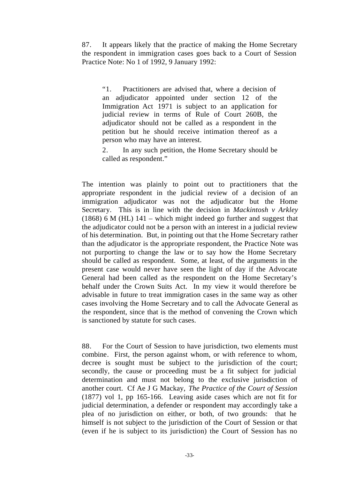87. It appears likely that the practice of making the Home Secretary the respondent in immigration cases goes back to a Court of Session Practice Note: No 1 of 1992, 9 January 1992:

"1. Practitioners are advised that, where a decision of an adjudicator appointed under section 12 of the Immigration Act 1971 is subject to an application for judicial review in terms of Rule of Court 260B, the adjudicator should not be called as a respondent in the petition but he should receive intimation thereof as a person who may have an interest.

2. In any such petition, the Home Secretary should be called as respondent."

The intention was plainly to point out to practitioners that the appropriate respondent in the judicial review of a decision of an immigration adjudicator was not the adjudicator but the Home Secretary. This is in line with the decision in *Mackintosh v Arkley* (1868) 6 M (HL)  $141$  – which might indeed go further and suggest that the adjudicator could not be a person with an interest in a judicial review of his determination. But, in pointing out that the Home Secretary rather than the adjudicator is the appropriate respondent, the Practice Note was not purporting to change the law or to say how the Home Secretary should be called as respondent. Some, at least, of the arguments in the present case would never have seen the light of day if the Advocate General had been called as the respondent on the Home Secretary's behalf under the Crown Suits Act. In my view it would therefore be advisable in future to treat immigration cases in the same way as other cases involving the Home Secretary and to call the Advocate General as the respondent, since that is the method of convening the Crown which is sanctioned by statute for such cases.

88. For the Court of Session to have jurisdiction, two elements must combine. First, the person against whom, or with reference to whom, decree is sought must be subject to the jurisdiction of the court; secondly, the cause or proceeding must be a fit subject for judicial determination and must not belong to the exclusive jurisdiction of another court. Cf Ae J G Mackay, *The Practice of the Court of Session*  (1877) vol 1, pp 165-166. Leaving aside cases which are not fit for judicial determination, a defender or respondent may accordingly take a plea of no jurisdiction on either, or both, of two grounds: that he himself is not subject to the jurisdiction of the Court of Session or that (even if he is subject to its jurisdiction) the Court of Session has no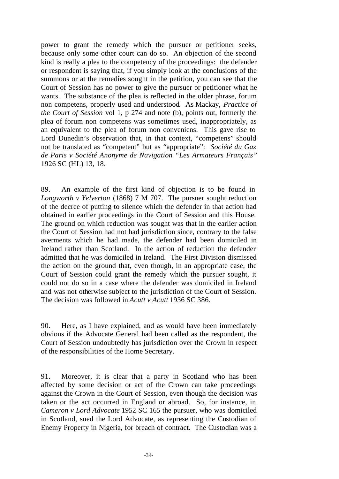power to grant the remedy which the pursuer or petitioner seeks, because only some other court can do so. An objection of the second kind is really a plea to the competency of the proceedings: the defender or respondent is saying that, if you simply look at the conclusions of the summons or at the remedies sought in the petition, you can see that the Court of Session has no power to give the pursuer or petitioner what he wants. The substance of the plea is reflected in the older phrase, forum non competens, properly used and understood*.* As Mackay, *Practice of the Court of Session* vol 1, p 274 and note (b), points out, formerly the plea of forum non competens was sometimes used, inappropriately, as an equivalent to the plea of forum non conveniens. This gave rise to Lord Dunedin's observation that, in that context, "competens" should not be translated as "competent" but as "appropriate": *Société du Gaz de Paris v Société Anonyme de Navigation "Les Armateurs Français"* 1926 SC (HL) 13, 18.

89. An example of the first kind of objection is to be found in *Longworth v Yelverton* (1868) 7 M 707. The pursuer sought reduction of the decree of putting to silence which the defender in that action had obtained in earlier proceedings in the Court of Session and this House. The ground on which reduction was sought was that in the earlier action the Court of Session had not had jurisdiction since, contrary to the false averments which he had made, the defender had been domiciled in Ireland rather than Scotland. In the action of reduction the defender admitted that he was domiciled in Ireland. The First Division dismissed the action on the ground that, even though, in an appropriate case, the Court of Session could grant the remedy which the pursuer sought, it could not do so in a case where the defender was domiciled in Ireland and was not otherwise subject to the jurisdiction of the Court of Session. The decision was followed in *Acutt v Acutt* 1936 SC 386.

90. Here, as I have explained, and as would have been immediately obvious if the Advocate General had been called as the respondent, the Court of Session undoubtedly has jurisdiction over the Crown in respect of the responsibilities of the Home Secretary.

91. Moreover, it is clear that a party in Scotland who has been affected by some decision or act of the Crown can take proceedings against the Crown in the Court of Session, even though the decision was taken or the act occurred in England or abroad. So, for instance, in *Cameron v Lord Advocate* 1952 SC 165 the pursuer, who was domiciled in Scotland, sued the Lord Advocate, as representing the Custodian of Enemy Property in Nigeria, for breach of contract. The Custodian was a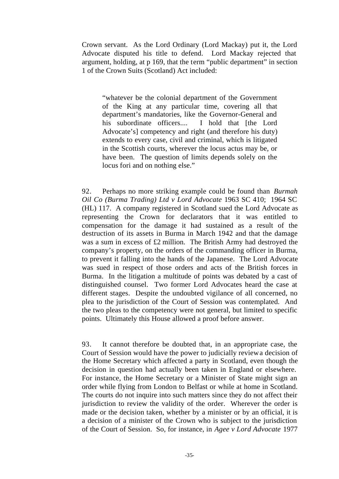Crown servant. As the Lord Ordinary (Lord Mackay) put it, the Lord Advocate disputed his title to defend. Lord Mackay rejected that argument, holding, at p 169, that the term "public department" in section 1 of the Crown Suits (Scotland) Act included:

"whatever be the colonial department of the Government of the King at any particular time, covering all that department's mandatories, like the Governor-General and his subordinate officers.... I hold that [the Lord Advocate's] competency and right (and therefore his duty) extends to every case, civil and criminal, which is litigated in the Scottish courts, wherever the locus actus may be, or have been. The question of limits depends solely on the locus fori and on nothing else."

92. Perhaps no more striking example could be found than *Burmah Oil Co (Burma Trading) Ltd v Lord Advocate* 1963 SC 410; 1964 SC (HL) 117. A company registered in Scotland sued the Lord Advocate as representing the Crown for declarators that it was entitled to compensation for the damage it had sustained as a result of the destruction of its assets in Burma in March 1942 and that the damage was a sum in excess of £2 million. The British Army had destroyed the company's property, on the orders of the commanding officer in Burma, to prevent it falling into the hands of the Japanese. The Lord Advocate was sued in respect of those orders and acts of the British forces in Burma. In the litigation a multitude of points was debated by a cast of distinguished counsel. Two former Lord Advocates heard the case at different stages. Despite the undoubted vigilance of all concerned, no plea to the jurisdiction of the Court of Session was contemplated. And the two pleas to the competency were not general, but limited to specific points. Ultimately this House allowed a proof before answer.

93. It cannot therefore be doubted that, in an appropriate case, the Court of Session would have the power to judicially review a decision of the Home Secretary which affected a party in Scotland, even though the decision in question had actually been taken in England or elsewhere. For instance, the Home Secretary or a Minister of State might sign an order while flying from London to Belfast or while at home in Scotland. The courts do not inquire into such matters since they do not affect their jurisdiction to review the validity of the order. Wherever the order is made or the decision taken, whether by a minister or by an official, it is a decision of a minister of the Crown who is subject to the jurisdiction of the Court of Session. So, for instance, in *Agee v Lord Advocate* 1977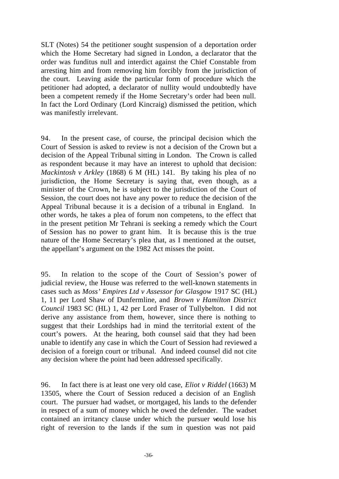SLT (Notes) 54 the petitioner sought suspension of a deportation order which the Home Secretary had signed in London, a declarator that the order was funditus null and interdict against the Chief Constable from arresting him and from removing him forcibly from the jurisdiction of the court. Leaving aside the particular form of procedure which the petitioner had adopted, a declarator of nullity would undoubtedly have been a competent remedy if the Home Secretary's order had been null. In fact the Lord Ordinary (Lord Kincraig) dismissed the petition, which was manifestly irrelevant.

94. In the present case, of course, the principal decision which the Court of Session is asked to review is not a decision of the Crown but a decision of the Appeal Tribunal sitting in London. The Crown is called as respondent because it may have an interest to uphold that decision: *Mackintosh v Arkley* (1868) 6 M (HL) 141. By taking his plea of no jurisdiction, the Home Secretary is saying that, even though, as a minister of the Crown, he is subject to the jurisdiction of the Court of Session, the court does not have any power to reduce the decision of the Appeal Tribunal because it is a decision of a tribunal in England. In other words, he takes a plea of forum non competens, to the effect that in the present petition Mr Tehrani is seeking a remedy which the Court of Session has no power to grant him. It is because this is the true nature of the Home Secretary's plea that, as I mentioned at the outset, the appellant's argument on the 1982 Act misses the point.

95. In relation to the scope of the Court of Session's power of judicial review, the House was referred to the well-known statements in cases such as *Moss' Empires Ltd v Assessor for Glasgow* 1917 SC (HL) 1, 11 per Lord Shaw of Dunfermline, and *Brown v Hamilton District Council* 1983 SC (HL) 1, 42 per Lord Fraser of Tullybelton. I did not derive any assistance from them, however, since there is nothing to suggest that their Lordships had in mind the territorial extent of the court's powers. At the hearing, both counsel said that they had been unable to identify any case in which the Court of Session had reviewed a decision of a foreign court or tribunal. And indeed counsel did not cite any decision where the point had been addressed specifically.

96. In fact there is at least one very old case, *Eliot v Riddel* (1663) M 13505, where the Court of Session reduced a decision of an English court. The pursuer had wadset, or mortgaged, his lands to the defender in respect of a sum of money which he owed the defender. The wadset contained an irritancy clause under which the pursuer would lose his right of reversion to the lands if the sum in question was not paid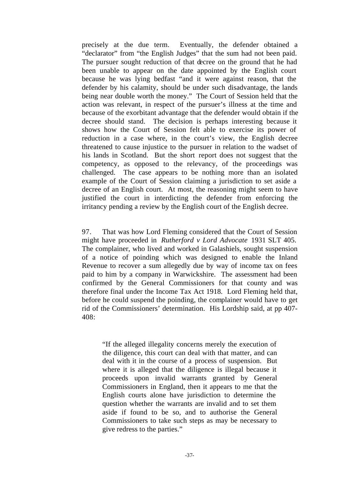precisely at the due term. Eventually, the defender obtained a "declarator" from "the English Judges" that the sum had not been paid. The pursuer sought reduction of that decree on the ground that he had been unable to appear on the date appointed by the English court because he was lying bedfast "and it were against reason, that the defender by his calamity, should be under such disadvantage, the lands being near double worth the money." The Court of Session held that the action was relevant, in respect of the pursuer's illness at the time and because of the exorbitant advantage that the defender would obtain if the decree should stand. The decision is perhaps interesting because it shows how the Court of Session felt able to exercise its power of reduction in a case where, in the court's view, the English decree threatened to cause injustice to the pursuer in relation to the wadset of his lands in Scotland. But the short report does not suggest that the competency, as opposed to the relevancy, of the proceedings was challenged. The case appears to be nothing more than an isolated example of the Court of Session claiming a jurisdiction to set aside a decree of an English court. At most, the reasoning might seem to have justified the court in interdicting the defender from enforcing the irritancy pending a review by the English court of the English decree.

97. That was how Lord Fleming considered that the Court of Session might have proceeded in *Rutherford v Lord Advocate* 1931 SLT 405. The complainer, who lived and worked in Galashiels, sought suspension of a notice of poinding which was designed to enable the Inland Revenue to recover a sum allegedly due by way of income tax on fees paid to him by a company in Warwickshire. The assessment had been confirmed by the General Commissioners for that county and was therefore final under the Income Tax Act 1918. Lord Fleming held that, before he could suspend the poinding, the complainer would have to get rid of the Commissioners' determination. His Lordship said, at pp 407- 408:

"If the alleged illegality concerns merely the execution of the diligence, this court can deal with that matter, and can deal with it in the course of a process of suspension. But where it is alleged that the diligence is illegal because it proceeds upon invalid warrants granted by General Commissioners in England, then it appears to me that the English courts alone have jurisdiction to determine the question whether the warrants are invalid and to set them aside if found to be so, and to authorise the General Commissioners to take such steps as may be necessary to give redress to the parties."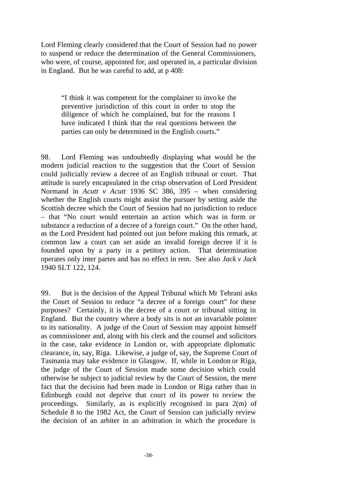Lord Fleming clearly considered that the Court of Session had no power to suspend or reduce the determination of the General Commissioners, who were, of course, appointed for, and operated in, a particular division in England. But he was careful to add, at p 408:

"I think it was competent for the complainer to invo ke the preventive jurisdiction of this court in order to stop the diligence of which he complained, but for the reasons I have indicated I think that the real questions between the parties can only be determined in the English courts."

98. Lord Fleming was undoubtedly displaying what would be the modern judicial reaction to the suggestion that the Court of Session could judicially review a decree of an English tribunal or court. That attitude is surely encapsulated in the crisp observation of Lord President Normand in *Acutt v Acutt* 1936 SC 386, 395 – when considering whether the English courts might assist the pursuer by setting aside the Scottish decree which the Court of Session had no jurisdiction to reduce – that "No court would entertain an action which was in form or substance a reduction of a decree of a foreign court." On the other hand, as the Lord President had pointed out just before making this remark, at common law a court can set aside an invalid foreign decree if it is founded upon by a party in a petitory action. That determination operates only inter partes and has no effect in rem. See also *Jack v Jack*  1940 SLT 122, 124.

99. But is the decision of the Appeal Tribunal which Mr Tehrani asks the Court of Session to reduce "a decree of a foreign court" for these purposes? Certainly, it is the decree of a court or tribunal sitting in England. But the country where a body sits is not an invariable pointer to its nationality. A judge of the Court of Session may appoint himself as commissioner and, along with his clerk and the counsel and solicitors in the case, take evidence in London or, with appropriate diplomatic clearance, in, say, Riga. Likewise, a judge of, say, the Supreme Court of Tasmania may take evidence in Glasgow. If, while in London or Riga, the judge of the Court of Session made some decision which could otherwise be subject to judicial review by the Court of Session, the mere fact that the decision had been made in London or Riga rather than in Edinburgh could not deprive that court of its power to review the proceedings. Similarly, as is explicitly recognised in para 2(m) of Schedule 8 to the 1982 Act, the Court of Session can judicially review the decision of an arbiter in an arbitration in which the procedure is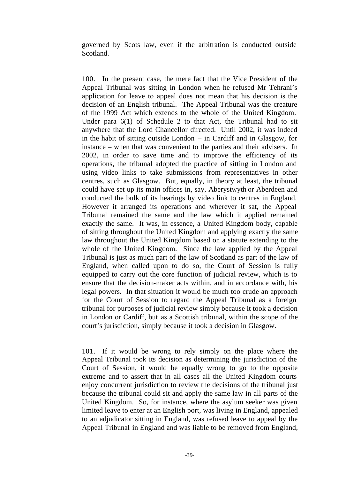governed by Scots law, even if the arbitration is conducted outside Scotland.

100. In the present case, the mere fact that the Vice President of the Appeal Tribunal was sitting in London when he refused Mr Tehrani's application for leave to appeal does not mean that his decision is the decision of an English tribunal. The Appeal Tribunal was the creature of the 1999 Act which extends to the whole of the United Kingdom. Under para 6(1) of Schedule 2 to that Act, the Tribunal had to sit anywhere that the Lord Chancellor directed. Until 2002, it was indeed in the habit of sitting outside London  $-$  in Cardiff and in Glasgow, for instance – when that was convenient to the parties and their advisers. In 2002, in order to save time and to improve the efficiency of its operations, the tribunal adopted the practice of sitting in London and using video links to take submissions from representatives in other centres, such as Glasgow. But, equally, in theory at least, the tribunal could have set up its main offices in, say, Aberystwyth or Aberdeen and conducted the bulk of its hearings by video link to centres in England. However it arranged its operations and wherever it sat, the Appeal Tribunal remained the same and the law which it applied remained exactly the same. It was, in essence, a United Kingdom body, capable of sitting throughout the United Kingdom and applying exactly the same law throughout the United Kingdom based on a statute extending to the whole of the United Kingdom. Since the law applied by the Appeal Tribunal is just as much part of the law of Scotland as part of the law of England, when called upon to do so, the Court of Session is fully equipped to carry out the core function of judicial review, which is to ensure that the decision-maker acts within, and in accordance with, his legal powers. In that situation it would be much too crude an approach for the Court of Session to regard the Appeal Tribunal as a foreign tribunal for purposes of judicial review simply because it took a decision in London or Cardiff, but as a Scottish tribunal, within the scope of the court's jurisdiction, simply because it took a decision in Glasgow.

101. If it would be wrong to rely simply on the place where the Appeal Tribunal took its decision as determining the jurisdiction of the Court of Session, it would be equally wrong to go to the opposite extreme and to assert that in all cases all the United Kingdom courts enjoy concurrent jurisdiction to review the decisions of the tribunal just because the tribunal could sit and apply the same law in all parts of the United Kingdom. So, for instance, where the asylum seeker was given limited leave to enter at an English port, was living in England, appealed to an adjudicator sitting in England, was refused leave to appeal by the Appeal Tribunal in England and was liable to be removed from England,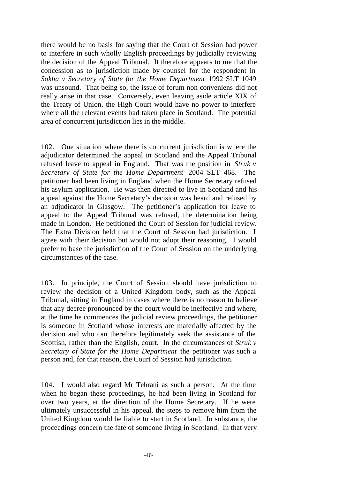there would be no basis for saying that the Court of Session had power to interfere in such wholly English proceedings by judicially reviewing the decision of the Appeal Tribunal. It therefore appears to me that the concession as to jurisdiction made by counsel for the respondent in *Sokha v Secretary of State for the Home Department* 1992 SLT 1049 was unsound. That being so, the issue of forum non conveniens did not really arise in that case. Conversely, even leaving aside article XIX of the Treaty of Union, the High Court would have no power to interfere where all the relevant events had taken place in Scotland. The potential area of concurrent jurisdiction lies in the middle.

102. One situation where there is concurrent jurisdiction is where the adjudicator determined the appeal in Scotland and the Appeal Tribunal refused leave to appeal in England. That was the position in *Struk v Secretary of State for the Home Department* 2004 SLT 468. The petitioner had been living in England when the Home Secretary refused his asylum application. He was then directed to live in Scotland and his appeal against the Home Secretary's decision was heard and refused by an adjudicator in Glasgow. The petitioner's application for leave to appeal to the Appeal Tribunal was refused, the determination being made in London. He petitioned the Court of Session for judicial review. The Extra Division held that the Court of Session had jurisdiction. I agree with their decision but would not adopt their reasoning. I would prefer to base the jurisdiction of the Court of Session on the underlying circumstances of the case.

103. In principle, the Court of Session should have jurisdiction to review the decision of a United Kingdom body, such as the Appeal Tribunal, sitting in England in cases where there is no reason to believe that any decree pronounced by the court would be ineffective and where, at the time he commences the judicial review proceedings, the petitioner is someone in Scotland whose interests are materially affected by the decision and who can therefore legitimately seek the assistance of the Scottish, rather than the English, court. In the circumstances of *Struk v Secretary of State for the Home Department* the petitioner was such a person and, for that reason, the Court of Session had jurisdiction.

104. I would also regard Mr Tehrani as such a person. At the time when he began these proceedings, he had been living in Scotland for over two years, at the direction of the Home Secretary. If he were ultimately unsuccessful in his appeal, the steps to remove him from the United Kingdom would be liable to start in Scotland. In substance, the proceedings concern the fate of someone living in Scotland. In that very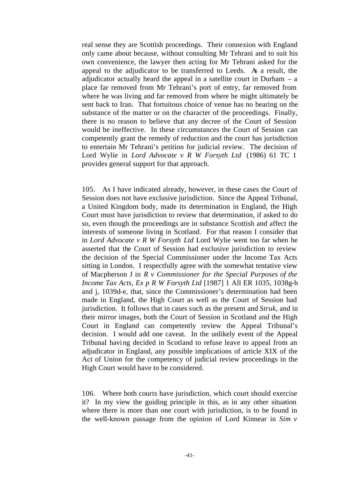real sense they are Scottish proceedings. Their connexion with England only came about because, without consulting Mr Tehrani and to suit his own convenience, the lawyer then acting for Mr Tehrani asked for the appeal to the adjudicator to be transferred to Leeds. As a result, the adjudicator actually heard the appeal in a satellite court in Durham  $-$  a place far removed from Mr Tehrani's port of entry, far removed from where he was living and far removed from where he might ultimately be sent back to Iran. That fortuitous choice of venue has no bearing on the substance of the matter or on the character of the proceedings. Finally, there is no reason to believe that any decree of the Court of Session would be ineffective. In these circumstances the Court of Session can competently grant the remedy of reduction and the court has jurisdiction to entertain Mr Tehrani's petition for judicial review. The decision of Lord Wylie in *Lord Advocate v R W Forsyth Ltd* (1986) 61 TC 1 provides general support for that approach.

105. As I have indicated already, however, in these cases the Court of Session does not have exclusive jurisdiction. Since the Appeal Tribunal, a United Kingdom body, made its determination in England, the High Court must have jurisdiction to review that determination, if asked to do so, even though the proceedings are in substance Scottish and affect the interests of someone living in Scotland. For that reason I consider that in *Lord Advocate v R W Forsyth Ltd* Lord Wylie went too far when he asserted that the Court of Session had exclusive jurisdiction to review the decision of the Special Commissioner under the Income Tax Acts sitting in London. I respectfully agree with the somewhat tentative view of Macpherson J in *R v Commissioner for the Special Purposes of the Income Tax Acts, Ex p R W Forsyth Ltd* [1987] 1 All ER 1035, 1038g-h and j, 1039d-e, that, since the Commissioner's determination had been made in England, the High Court as well as the Court of Session had jurisdiction. It follows that in cases such as the present and *Struk*, and in their mirror images, both the Court of Session in Scotland and the High Court in England can competently review the Appeal Tribunal's decision. I would add one caveat. In the unlikely event of the Appeal Tribunal having decided in Scotland to refuse leave to appeal from an adjudicator in England, any possible implications of article XIX of the Act of Union for the competency of judicial review proceedings in the High Court would have to be considered.

106. Where both courts have jurisdiction, which court should exercise it? In my view the guiding principle in this, as in any other situation where there is more than one court with jurisdiction, is to be found in the well-known passage from the opinion of Lord Kinnear in *Sim v*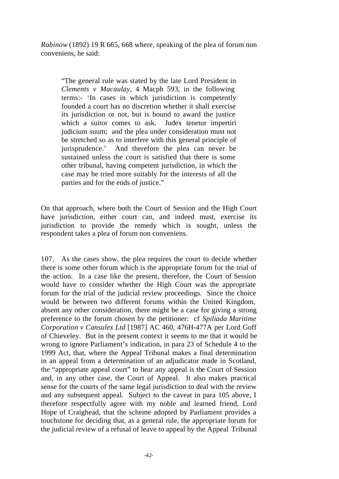*Robinow* (1892) 19 R 665, 668 where, speaking of the plea of forum non conveniens, he said:

"The general rule was stated by the late Lord President in *Clements v Macaulay*, 4 Macph 593, in the following terms:- 'In cases in which jurisdiction is competently founded a court has no discretion whether it shall exercise its jurisdiction or not, but is bound to award the justice which a suitor comes to ask. Judex tenetur impertiri judicium suum; and the plea under consideration must not be stretched so as to interfere with this general principle of jurisprudence.' And therefore the plea can never be sustained unless the court is satisfied that there is some other tribunal, having competent jurisdiction, in which the case may be tried more suitably for the interests of all the parties and for the ends of justice."

On that approach, where both the Court of Session and the High Court have jurisdiction, either court can, and indeed must, exercise its jurisdiction to provide the remedy which is sought, unless the respondent takes a plea of forum non conveniens.

107. As the cases show, the plea requires the court to decide whether there is some other forum which is the appropriate forum for the trial of the action. In a case like the present, therefore, the Court of Session would have to consider whether the High Court was the appropriate forum for the trial of the judicial review proceedings. Since the choice would be between two different forums within the United Kingdom, absent any other consideration, there might be a case for giving a strong preference to the forum chosen by the petitioner: cf *Spiliada Maritime Corporation v Cansulex Ltd* [1987] AC 460, 476H-477A per Lord Goff of Chieveley. But in the present context it seems to me that it would be wrong to ignore Parliament's indication, in para 23 of Schedule 4 to the 1999 Act, that, where the Appeal Tribunal makes a final determination in an appeal from a determination of an adjudicator made in Scotland, the "appropriate appeal court" to hear any appeal is the Court of Session and, in any other case, the Court of Appeal. It also makes practical sense for the courts of the same legal jurisdiction to deal with the review and any subsequent appeal. Subject to the caveat in para 105 above, I therefore respectfully agree with my noble and learned friend, Lord Hope of Craighead, that the scheme adopted by Parliament provides a touchstone for deciding that, as a general rule, the appropriate forum for the judicial review of a refusal of leave to appeal by the Appeal Tribunal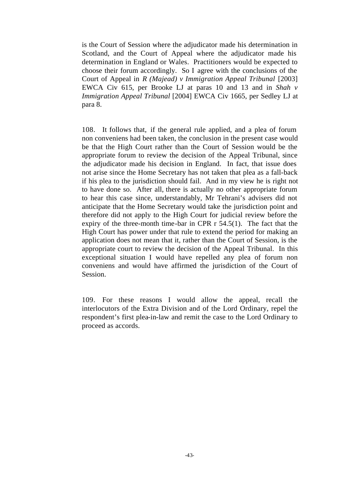is the Court of Session where the adjudicator made his determination in Scotland, and the Court of Appeal where the adjudicator made his determination in England or Wales. Practitioners would be expected to choose their forum accordingly. So I agree with the conclusions of the Court of Appeal in *R (Majead) v Immigration Appeal Tribunal* [2003] EWCA Civ 615, per Brooke LJ at paras 10 and 13 and in *Shah v Immigration Appeal Tribunal* [2004] EWCA Civ 1665, per Sedley LJ at para 8.

108. It follows that, if the general rule applied, and a plea of forum non conveniens had been taken, the conclusion in the present case would be that the High Court rather than the Court of Session would be the appropriate forum to review the decision of the Appeal Tribunal, since the adjudicator made his decision in England. In fact, that issue does not arise since the Home Secretary has not taken that plea as a fall-back if his plea to the jurisdiction should fail. And in my view he is right not to have done so. After all, there is actually no other appropriate forum to hear this case since, understandably, Mr Tehrani's advisers did not anticipate that the Home Secretary would take the jurisdiction point and therefore did not apply to the High Court for judicial review before the expiry of the three-month time-bar in CPR r 54.5(1). The fact that the High Court has power under that rule to extend the period for making an application does not mean that it, rather than the Court of Session, is the appropriate court to review the decision of the Appeal Tribunal. In this exceptional situation I would have repelled any plea of forum non conveniens and would have affirmed the jurisdiction of the Court of Session.

109. For these reasons I would allow the appeal, recall the interlocutors of the Extra Division and of the Lord Ordinary, repel the respondent's first plea-in-law and remit the case to the Lord Ordinary to proceed as accords.